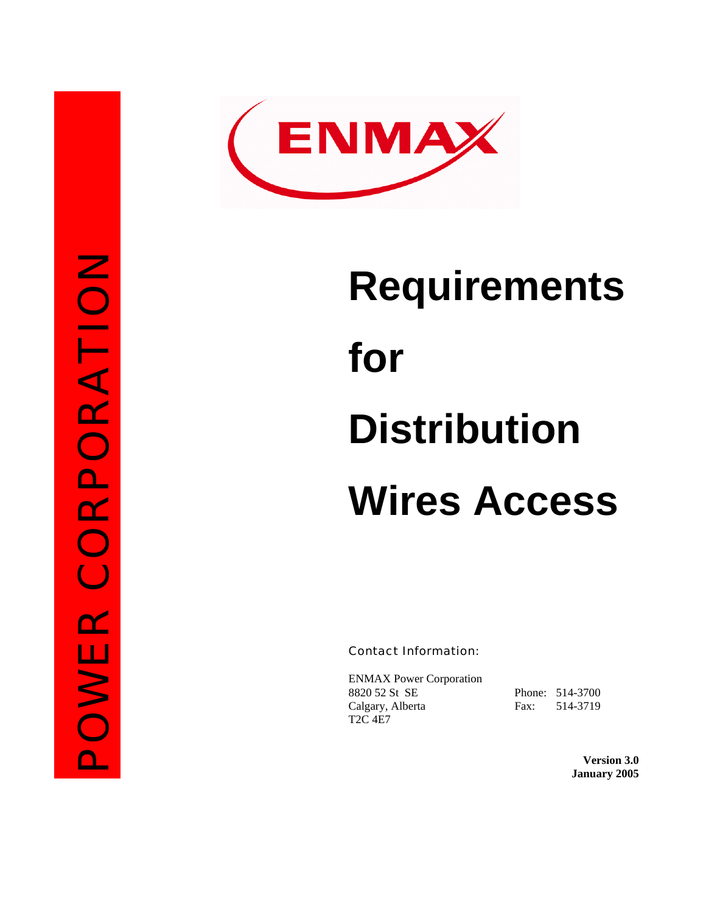

# **Requirements for Distribution Wires Access**

Contact Information:

ENMAX Power Corporation 8820 52 St SE Phone: 514-3700 Calgary, Alberta Fax: 514-3719 T2C 4E7

**Version 3.0 January 2005**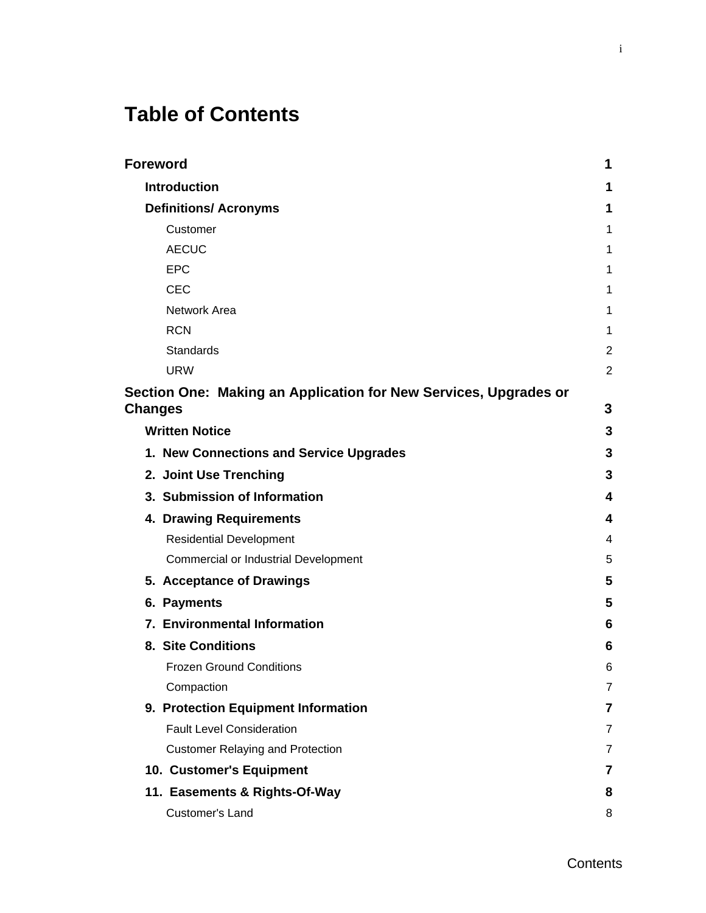# **Table of Contents**

|                | <b>Foreword</b>                                                  | 1              |
|----------------|------------------------------------------------------------------|----------------|
|                | <b>Introduction</b>                                              | 1              |
|                | <b>Definitions/ Acronyms</b>                                     | 1              |
|                | Customer                                                         | 1              |
|                | <b>AECUC</b>                                                     | 1              |
|                | <b>EPC</b>                                                       | 1              |
|                | <b>CEC</b>                                                       | 1              |
|                | Network Area                                                     | 1              |
|                | <b>RCN</b>                                                       | 1              |
|                | <b>Standards</b>                                                 | 2              |
|                | <b>URW</b>                                                       | $\overline{2}$ |
| <b>Changes</b> | Section One: Making an Application for New Services, Upgrades or | 3              |
|                | <b>Written Notice</b>                                            | 3              |
|                | 1. New Connections and Service Upgrades                          | 3              |
|                | 2. Joint Use Trenching                                           | 3              |
|                | 3. Submission of Information                                     | 4              |
|                | 4. Drawing Requirements                                          | 4              |
|                | <b>Residential Development</b>                                   | 4              |
|                | <b>Commercial or Industrial Development</b>                      | 5              |
|                | 5. Acceptance of Drawings                                        | 5              |
|                | 6. Payments                                                      | 5              |
|                | 7. Environmental Information                                     | 6              |
|                | 8. Site Conditions                                               | 6              |
|                | <b>Frozen Ground Conditions</b>                                  | 6              |
|                | Compaction                                                       | 7              |
|                | 9. Protection Equipment Information                              | 7              |
|                | <b>Fault Level Consideration</b>                                 | 7              |
|                | <b>Customer Relaying and Protection</b>                          | 7              |
|                | 10. Customer's Equipment                                         | 7              |
|                | 11. Easements & Rights-Of-Way                                    | 8              |
|                | Customer's Land                                                  | 8              |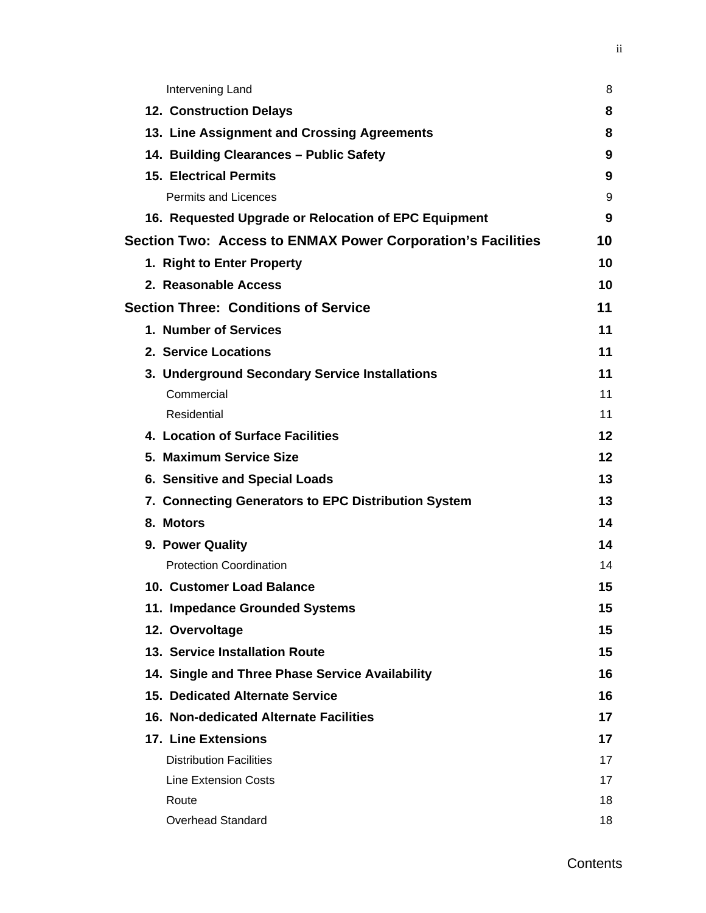| Intervening Land                                            | 8  |
|-------------------------------------------------------------|----|
| <b>12. Construction Delays</b>                              | 8  |
| 13. Line Assignment and Crossing Agreements                 | 8  |
| 14. Building Clearances - Public Safety                     | 9  |
| <b>15. Electrical Permits</b>                               | 9  |
| <b>Permits and Licences</b>                                 | 9  |
| 16. Requested Upgrade or Relocation of EPC Equipment        | 9  |
| Section Two: Access to ENMAX Power Corporation's Facilities | 10 |
| 1. Right to Enter Property                                  | 10 |
| 2. Reasonable Access                                        | 10 |
| <b>Section Three: Conditions of Service</b>                 | 11 |
| 1. Number of Services                                       | 11 |
| 2. Service Locations                                        | 11 |
| 3. Underground Secondary Service Installations              | 11 |
| Commercial                                                  | 11 |
| Residential                                                 | 11 |
| 4. Location of Surface Facilities                           | 12 |
| 5. Maximum Service Size                                     | 12 |
| 6. Sensitive and Special Loads                              | 13 |
| 7. Connecting Generators to EPC Distribution System         | 13 |
| 8. Motors                                                   | 14 |
| 9. Power Quality                                            | 14 |
| <b>Protection Coordination</b>                              | 14 |
| 10. Customer Load Balance                                   | 15 |
| 11. Impedance Grounded Systems                              | 15 |
| 12. Overvoltage                                             | 15 |
| 13. Service Installation Route                              | 15 |
| 14. Single and Three Phase Service Availability             | 16 |
| <b>15. Dedicated Alternate Service</b>                      | 16 |
| 16. Non-dedicated Alternate Facilities                      | 17 |
| <b>17. Line Extensions</b>                                  | 17 |
| <b>Distribution Facilities</b>                              | 17 |
| <b>Line Extension Costs</b>                                 | 17 |
| Route                                                       | 18 |
| <b>Overhead Standard</b>                                    | 18 |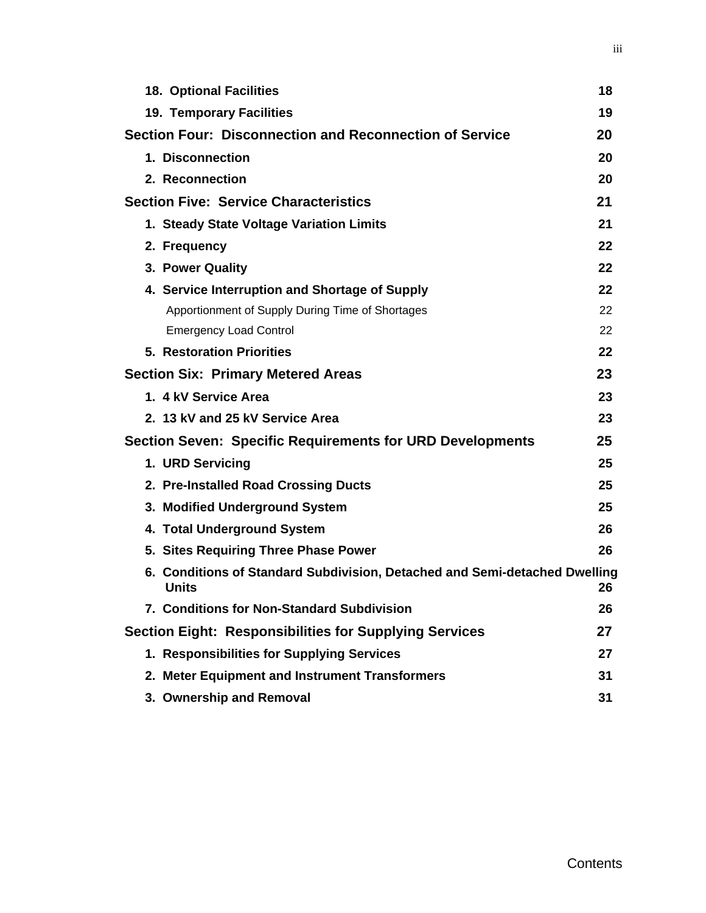| <b>18. Optional Facilities</b>                                                             | 18 |
|--------------------------------------------------------------------------------------------|----|
| 19. Temporary Facilities                                                                   | 19 |
| Section Four: Disconnection and Reconnection of Service                                    | 20 |
| 1. Disconnection                                                                           | 20 |
| 2. Reconnection                                                                            | 20 |
| <b>Section Five: Service Characteristics</b>                                               | 21 |
| 1. Steady State Voltage Variation Limits                                                   | 21 |
| 2. Frequency                                                                               | 22 |
| 3. Power Quality                                                                           | 22 |
| 4. Service Interruption and Shortage of Supply                                             | 22 |
| Apportionment of Supply During Time of Shortages                                           | 22 |
| <b>Emergency Load Control</b>                                                              | 22 |
| <b>5. Restoration Priorities</b>                                                           | 22 |
| <b>Section Six: Primary Metered Areas</b>                                                  | 23 |
| 1. 4 kV Service Area                                                                       | 23 |
| 2. 13 kV and 25 kV Service Area                                                            | 23 |
| <b>Section Seven: Specific Requirements for URD Developments</b>                           | 25 |
| 1. URD Servicing                                                                           | 25 |
| 2. Pre-Installed Road Crossing Ducts                                                       | 25 |
| 3. Modified Underground System                                                             | 25 |
| 4. Total Underground System                                                                | 26 |
| 5. Sites Requiring Three Phase Power                                                       | 26 |
| 6. Conditions of Standard Subdivision, Detached and Semi-detached Dwelling<br><b>Units</b> | 26 |
| 7. Conditions for Non-Standard Subdivision                                                 | 26 |
| <b>Section Eight: Responsibilities for Supplying Services</b>                              | 27 |
| 1. Responsibilities for Supplying Services                                                 | 27 |
| 2. Meter Equipment and Instrument Transformers                                             | 31 |
| 3. Ownership and Removal                                                                   | 31 |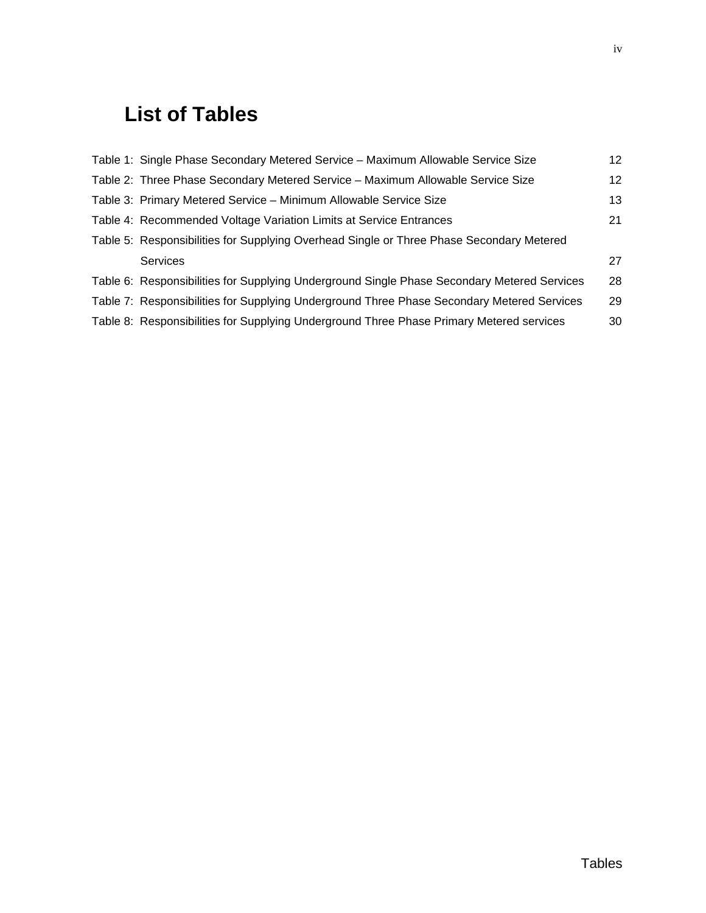# **List of Tables**

| Table 1: Single Phase Secondary Metered Service - Maximum Allowable Service Size            | 12 |
|---------------------------------------------------------------------------------------------|----|
| Table 2: Three Phase Secondary Metered Service - Maximum Allowable Service Size             | 12 |
| Table 3: Primary Metered Service - Minimum Allowable Service Size                           | 13 |
| Table 4: Recommended Voltage Variation Limits at Service Entrances                          | 21 |
| Table 5: Responsibilities for Supplying Overhead Single or Three Phase Secondary Metered    |    |
| <b>Services</b>                                                                             | 27 |
| Table 6: Responsibilities for Supplying Underground Single Phase Secondary Metered Services | 28 |
| Table 7: Responsibilities for Supplying Underground Three Phase Secondary Metered Services  | 29 |
| Table 8: Responsibilities for Supplying Underground Three Phase Primary Metered services    | 30 |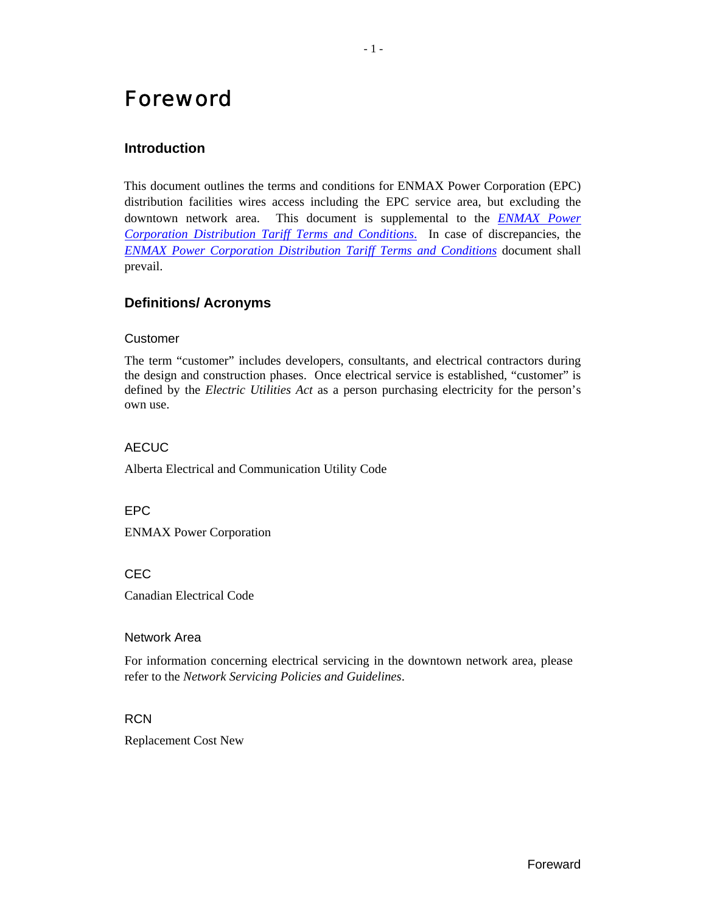# <span id="page-5-0"></span>Foreword

# **Introduction**

This document outlines the terms and conditions for ENMAX Power Corporation (EPC) distribution facilities wires access including the EPC service area, but excluding the downtown network area. This document is supplemental to the *[ENMAX Power](http://www.enmax.com/NR/rdonlyres/C74A6585-E2FD-4633-A333-A242289894F3/0/DT_terms_conditions.pdf)  [Corporation Distribution Tariff Terms and Conditions](http://www.enmax.com/NR/rdonlyres/C74A6585-E2FD-4633-A333-A242289894F3/0/DT_terms_conditions.pdf)*. In case of discrepancies, the *[ENMAX Power Corporation Distribution Tariff Terms and Conditions](http://www.enmax.com/NR/rdonlyres/C74A6585-E2FD-4633-A333-A242289894F3/0/DT_terms_conditions.pdf)* document shall prevail.

# **Definitions/ Acronyms**

#### Customer

The term "customer" includes developers, consultants, and electrical contractors during the design and construction phases. Once electrical service is established, "customer" is defined by the *Electric Utilities Act* as a person purchasing electricity for the person's own use.

#### **AFCUC**

Alberta Electrical and Communication Utility Code

EPC

ENMAX Power Corporation

CEC

Canadian Electrical Code

#### Network Area

For information concerning electrical servicing in the downtown network area, please refer to the *Network Servicing Policies and Guidelines*.

#### RCN

Replacement Cost New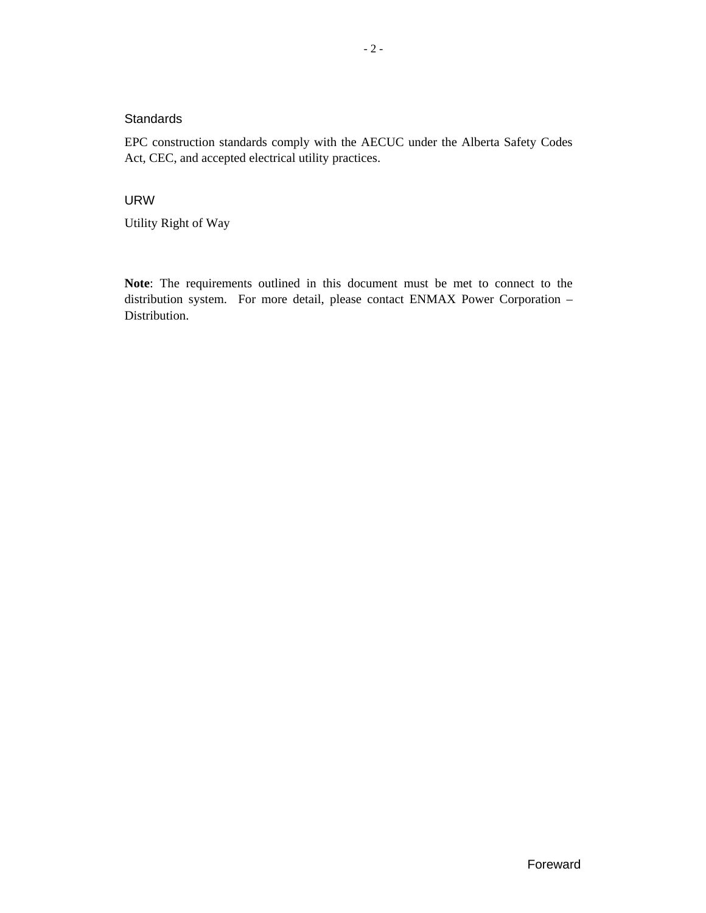#### <span id="page-6-0"></span>**Standards**

EPC construction standards comply with the AECUC under the Alberta Safety Codes Act, CEC, and accepted electrical utility practices.

# URW

Utility Right of Way

**Note**: The requirements outlined in this document must be met to connect to the distribution system. For more detail, please contact ENMAX Power Corporation – Distribution.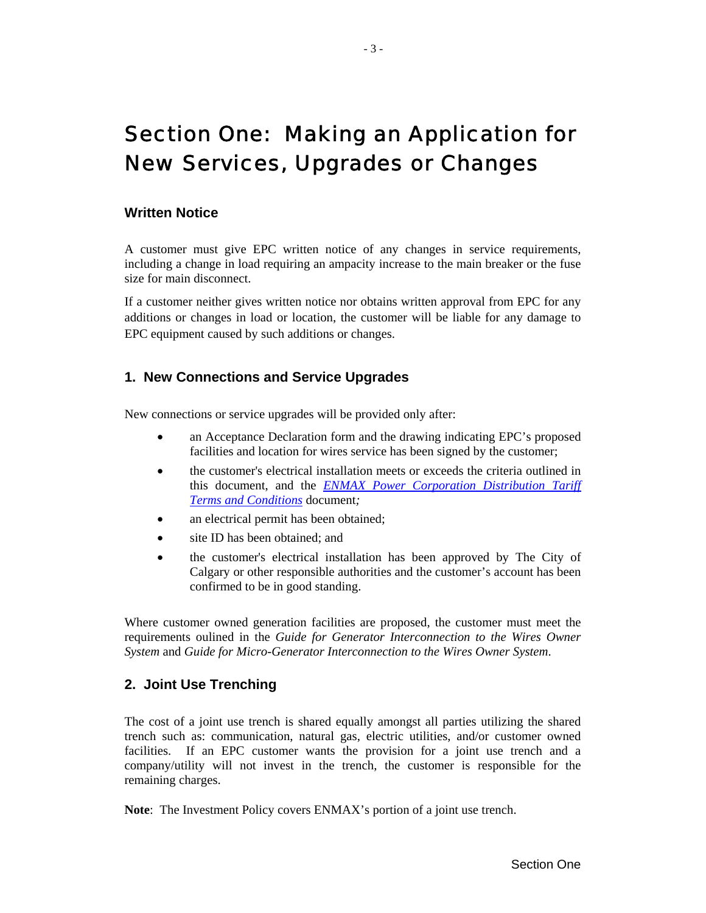# <span id="page-7-0"></span>Section One: Making an Application for New Services, Upgrades or Changes

#### **Written Notice**

A customer must give EPC written notice of any changes in service requirements, including a change in load requiring an ampacity increase to the main breaker or the fuse size for main disconnect.

If a customer neither gives written notice nor obtains written approval from EPC for any additions or changes in load or location, the customer will be liable for any damage to EPC equipment caused by such additions or changes.

# **1. New Connections and Service Upgrades**

New connections or service upgrades will be provided only after:

- an Acceptance Declaration form and the drawing indicating EPC's proposed facilities and location for wires service has been signed by the customer;
- the customer's electrical installation meets or exceeds the criteria outlined in this document, and the *[ENMAX Power Corporation](http://www.enmax.com/NR/rdonlyres/C74A6585-E2FD-4633-A333-A242289894F3/0/DT_terms_conditions.pdf) Distribution Tariff [Terms and Conditions](http://www.enmax.com/NR/rdonlyres/C74A6585-E2FD-4633-A333-A242289894F3/0/DT_terms_conditions.pdf)* document*;*
- an electrical permit has been obtained;
- site ID has been obtained; and
- the customer's electrical installation has been approved by The City of Calgary or other responsible authorities and the customer's account has been confirmed to be in good standing.

Where customer owned generation facilities are proposed, the customer must meet the requirements oulined in the *Guide for Generator Interconnection to the Wires Owner System* and *Guide for Micro-Generator Interconnection to the Wires Owner System*.

# **2. Joint Use Trenching**

The cost of a joint use trench is shared equally amongst all parties utilizing the shared trench such as: communication, natural gas, electric utilities, and/or customer owned facilities. If an EPC customer wants the provision for a joint use trench and a company/utility will not invest in the trench, the customer is responsible for the remaining charges.

**Note**: The Investment Policy covers ENMAX's portion of a joint use trench.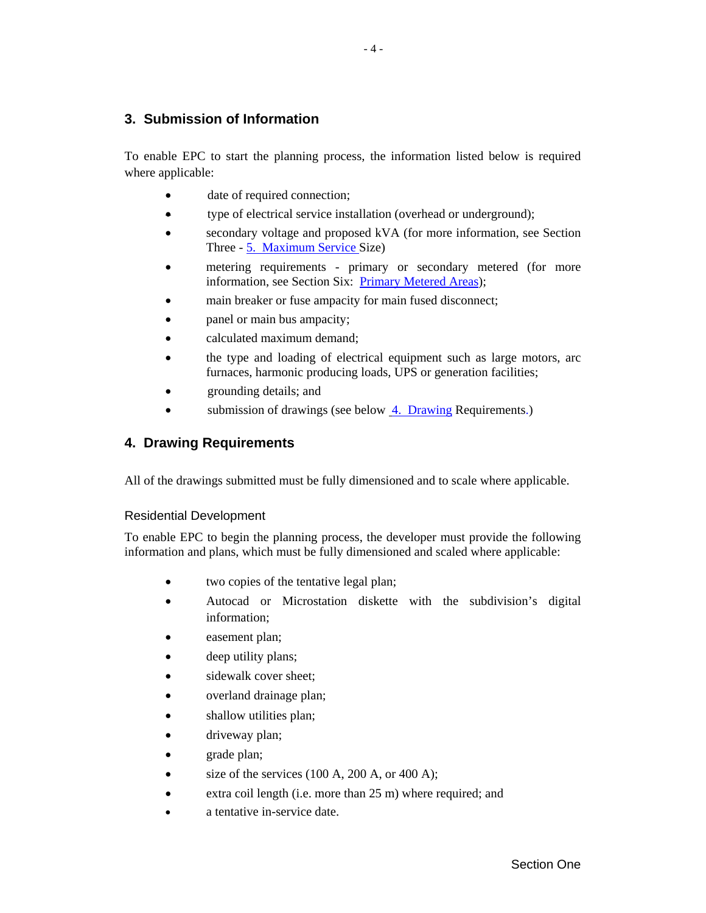# <span id="page-8-0"></span>**3. Submission of Information**

To enable EPC to start the planning process, the information listed below is required where applicable:

- date of required connection;
- type of electrical service installation (overhead or underground);
- secondary voltage and proposed kVA (for more information, see Section Three - [5. Maximum Service Size\)](#page-16-1)
- metering requirements primary or secondary metered (for more information, see [Section Six: Primary Metered Areas\)](#page-27-1);
- main breaker or fuse ampacity for main fused disconnect;
- panel or main bus ampacity;
- calculated maximum demand;
- the type and loading of electrical equipment such as large motors, arc furnaces, harmonic producing loads, UPS or generation facilities;
- grounding details; and
- submission of drawings (see below  $\frac{4}{2}$ . Drawing Requirements.)

# <span id="page-8-1"></span>**4. Drawing Requirements**

All of the drawings submitted must be fully dimensioned and to scale where applicable.

#### Residential Development

To enable EPC to begin the planning process, the developer must provide the following information and plans, which must be fully dimensioned and scaled where applicable:

- two copies of the tentative legal plan;
- Autocad or Microstation diskette with the subdivision's digital information;
- easement plan;
- deep utility plans;
- sidewalk cover sheet;
- overland drainage plan;
- shallow utilities plan;
- driveway plan;
- grade plan;
- size of the services  $(100 \text{ A}, 200 \text{ A}, \text{or } 400 \text{ A});$
- extra coil length (i.e. more than 25 m) where required; and
- a tentative in-service date.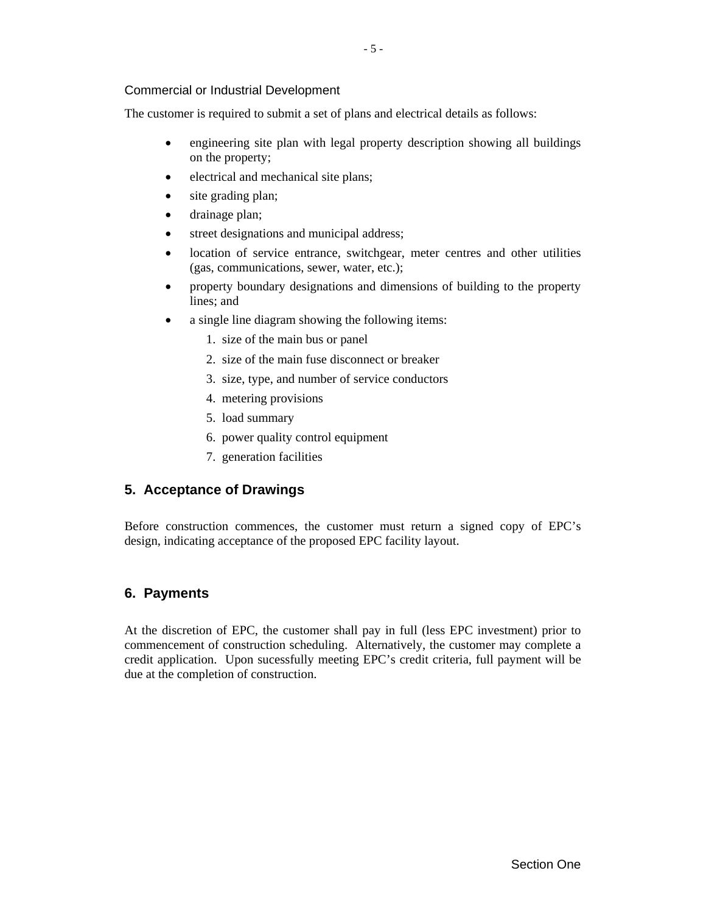#### <span id="page-9-0"></span>Commercial or Industrial Development

The customer is required to submit a set of plans and electrical details as follows:

- engineering site plan with legal property description showing all buildings on the property;
- electrical and mechanical site plans;
- site grading plan;
- drainage plan;
- street designations and municipal address;
- location of service entrance, switchgear, meter centres and other utilities (gas, communications, sewer, water, etc.);
- property boundary designations and dimensions of building to the property lines; and
- a single line diagram showing the following items:
	- 1. size of the main bus or panel
	- 2. size of the main fuse disconnect or breaker
	- 3. size, type, and number of service conductors
	- 4. metering provisions
	- 5. load summary
	- 6. power quality control equipment
	- 7. generation facilities

#### **5. Acceptance of Drawings**

Before construction commences, the customer must return a signed copy of EPC's design, indicating acceptance of the proposed EPC facility layout.

#### **6. Payments**

At the discretion of EPC, the customer shall pay in full (less EPC investment) prior to commencement of construction scheduling. Alternatively, the customer may complete a credit application. Upon sucessfully meeting EPC's credit criteria, full payment will be due at the completion of construction.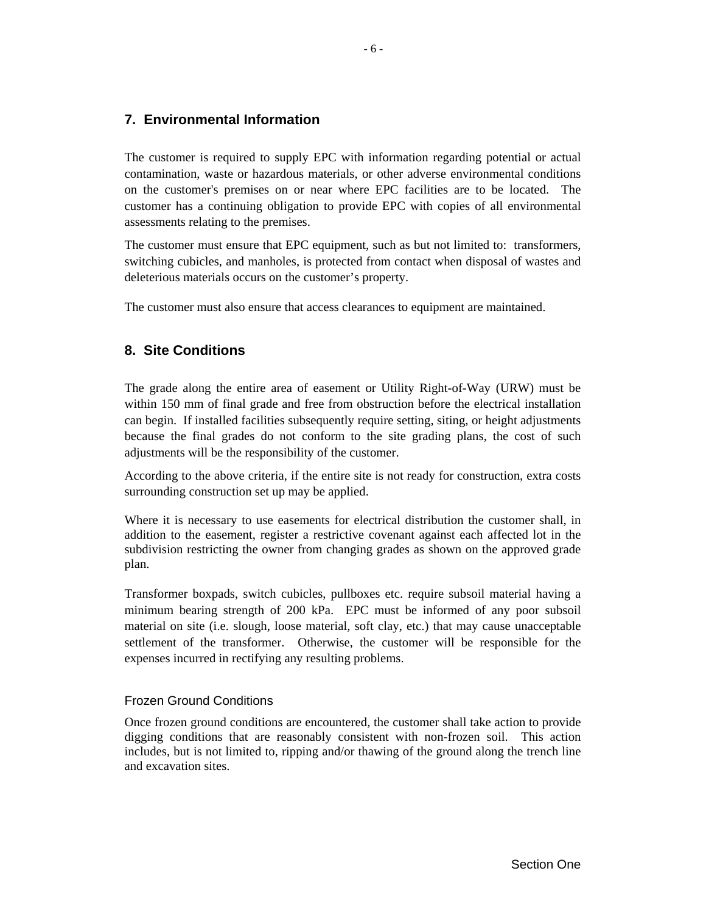# <span id="page-10-0"></span>**7. Environmental Information**

The customer is required to supply EPC with information regarding potential or actual contamination, waste or hazardous materials, or other adverse environmental conditions on the customer's premises on or near where EPC facilities are to be located. The customer has a continuing obligation to provide EPC with copies of all environmental assessments relating to the premises.

The customer must ensure that EPC equipment, such as but not limited to: transformers, switching cubicles, and manholes, is protected from contact when disposal of wastes and deleterious materials occurs on the customer's property.

The customer must also ensure that access clearances to equipment are maintained.

# **8. Site Conditions**

The grade along the entire area of easement or Utility Right-of-Way (URW) must be within 150 mm of final grade and free from obstruction before the electrical installation can begin. If installed facilities subsequently require setting, siting, or height adjustments because the final grades do not conform to the site grading plans, the cost of such adjustments will be the responsibility of the customer.

According to the above criteria, if the entire site is not ready for construction, extra costs surrounding construction set up may be applied.

Where it is necessary to use easements for electrical distribution the customer shall, in addition to the easement, register a restrictive covenant against each affected lot in the subdivision restricting the owner from changing grades as shown on the approved grade plan.

Transformer boxpads, switch cubicles, pullboxes etc. require subsoil material having a minimum bearing strength of 200 kPa. EPC must be informed of any poor subsoil material on site (i.e. slough, loose material, soft clay, etc.) that may cause unacceptable settlement of the transformer. Otherwise, the customer will be responsible for the expenses incurred in rectifying any resulting problems.

#### Frozen Ground Conditions

Once frozen ground conditions are encountered, the customer shall take action to provide digging conditions that are reasonably consistent with non-frozen soil. This action includes, but is not limited to, ripping and/or thawing of the ground along the trench line and excavation sites.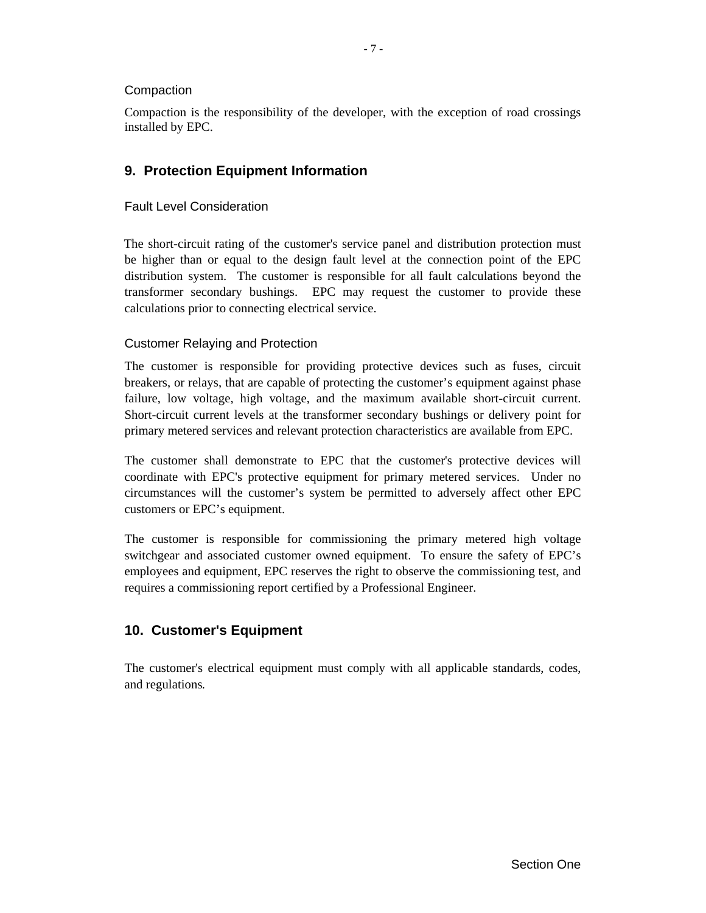#### <span id="page-11-0"></span>**Compaction**

Compaction is the responsibility of the developer, with the exception of road crossings installed by EPC.

# **9. Protection Equipment Information**

#### Fault Level Consideration

The short-circuit rating of the customer's service panel and distribution protection must be higher than or equal to the design fault level at the connection point of the EPC distribution system. The customer is responsible for all fault calculations beyond the transformer secondary bushings. EPC may request the customer to provide these calculations prior to connecting electrical service.

#### Customer Relaying and Protection

The customer is responsible for providing protective devices such as fuses, circuit breakers, or relays, that are capable of protecting the customer's equipment against phase failure, low voltage, high voltage, and the maximum available short-circuit current. Short-circuit current levels at the transformer secondary bushings or delivery point for primary metered services and relevant protection characteristics are available from EPC.

The customer shall demonstrate to EPC that the customer's protective devices will coordinate with EPC's protective equipment for primary metered services. Under no circumstances will the customer's system be permitted to adversely affect other EPC customers or EPC's equipment.

The customer is responsible for commissioning the primary metered high voltage switchgear and associated customer owned equipment. To ensure the safety of EPC's employees and equipment, EPC reserves the right to observe the commissioning test, and requires a commissioning report certified by a Professional Engineer.

# **10. Customer's Equipment**

The customer's electrical equipment must comply with all applicable standards, codes, and regulations*.*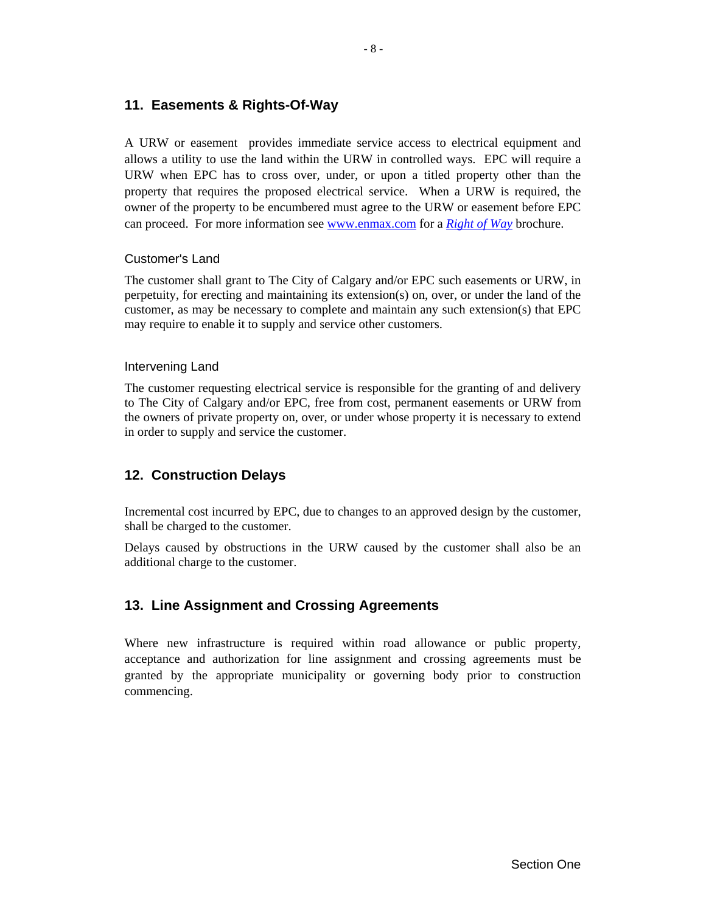# <span id="page-12-0"></span>**11. Easements & Rights-Of-Way**

A URW or easement provides immediate service access to electrical equipment and allows a utility to use the land within the URW in controlled ways. EPC will require a URW when EPC has to cross over, under, or upon a titled property other than the property that requires the proposed electrical service. When a URW is required, the owner of the property to be encumbered must agree to the URW or easement before EPC can proceed. For more information see www.enmax.com for a *[Right of Way](http://www.enmax.com/NR/rdonlyres/1583EA27-5BE1-43FE-9816-5692E07E6B2E/0/URW.pdf)* brochure.

#### Customer's Land

The customer shall grant to The City of Calgary and/or EPC such easements or URW, in perpetuity, for erecting and maintaining its extension(s) on, over, or under the land of the customer, as may be necessary to complete and maintain any such extension(s) that EPC may require to enable it to supply and service other customers.

#### Intervening Land

The customer requesting electrical service is responsible for the granting of and delivery to The City of Calgary and/or EPC, free from cost, permanent easements or URW from the owners of private property on, over, or under whose property it is necessary to extend in order to supply and service the customer.

# **12. Construction Delays**

Incremental cost incurred by EPC, due to changes to an approved design by the customer, shall be charged to the customer.

Delays caused by obstructions in the URW caused by the customer shall also be an additional charge to the customer.

# **13. Line Assignment and Crossing Agreements**

Where new infrastructure is required within road allowance or public property, acceptance and authorization for line assignment and crossing agreements must be granted by the appropriate municipality or governing body prior to construction commencing.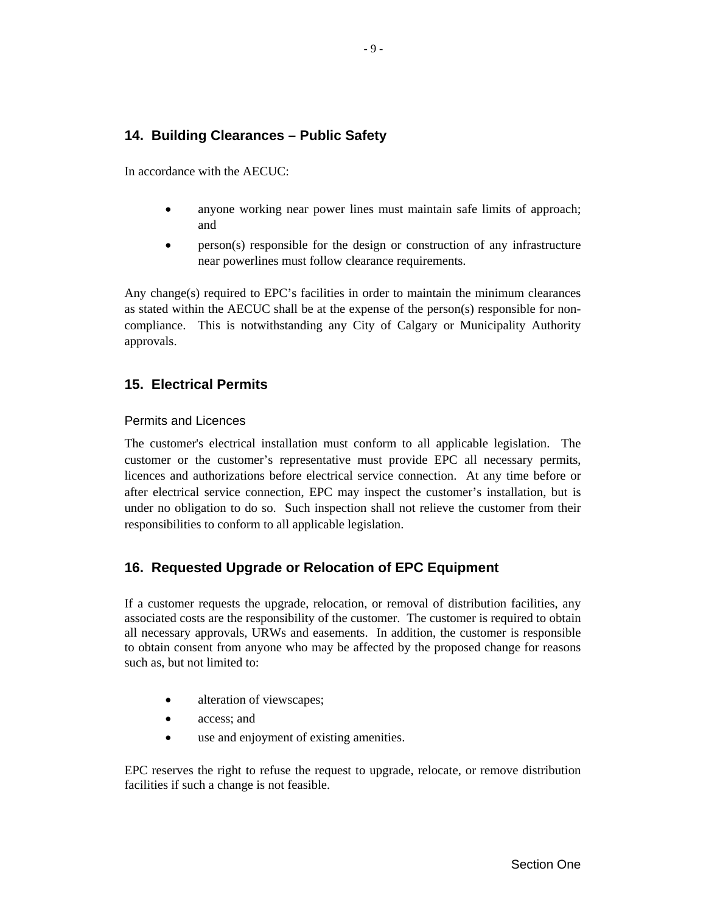# <span id="page-13-0"></span>**14. Building Clearances – Public Safety**

In accordance with the AECUC:

- anyone working near power lines must maintain safe limits of approach; and
- person(s) responsible for the design or construction of any infrastructure near powerlines must follow clearance requirements.

Any change(s) required to EPC's facilities in order to maintain the minimum clearances as stated within the AECUC shall be at the expense of the person(s) responsible for noncompliance. This is notwithstanding any City of Calgary or Municipality Authority approvals.

# **15. Electrical Permits**

#### Permits and Licences

The customer's electrical installation must conform to all applicable legislation. The customer or the customer's representative must provide EPC all necessary permits, licences and authorizations before electrical service connection. At any time before or after electrical service connection, EPC may inspect the customer's installation, but is under no obligation to do so. Such inspection shall not relieve the customer from their responsibilities to conform to all applicable legislation.

# **16. Requested Upgrade or Relocation of EPC Equipment**

If a customer requests the upgrade, relocation, or removal of distribution facilities, any associated costs are the responsibility of the customer. The customer is required to obtain all necessary approvals, URWs and easements. In addition, the customer is responsible to obtain consent from anyone who may be affected by the proposed change for reasons such as, but not limited to:

- alteration of viewscapes;
- access; and
- use and enjoyment of existing amenities.

EPC reserves the right to refuse the request to upgrade, relocate, or remove distribution facilities if such a change is not feasible.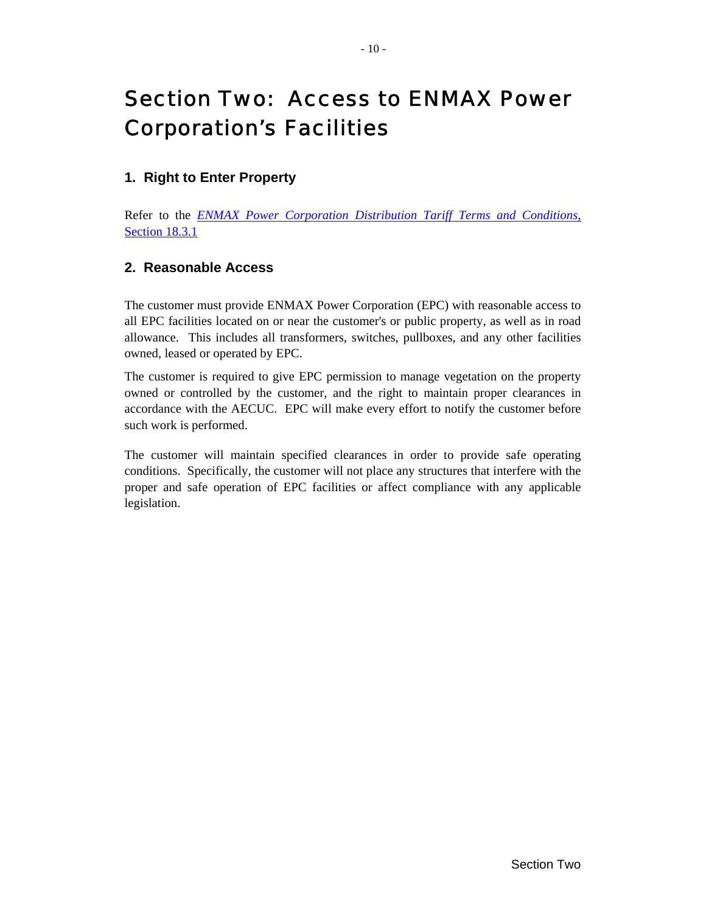# <span id="page-14-0"></span>Section Two: Access to ENMAX Power Corporation's Facilities

# **1. Right to Enter Property**

Refer to the *[ENMAX Power Corporation Distribution Tariff Terms and Conditions](http://www.enmax.com/NR/rdonlyres/C74A6585-E2FD-4633-A333-A242289894F3/0/DT_terms_conditions.pdf)*, [Section 18.3.1](http://www.enmax.com/NR/rdonlyres/C74A6585-E2FD-4633-A333-A242289894F3/0/DT_terms_conditions.pdf)

# **2. Reasonable Access**

The customer must provide ENMAX Power Corporation (EPC) with reasonable access to all EPC facilities located on or near the customer's or public property, as well as in road allowance. This includes all transformers, switches, pullboxes, and any other facilities owned, leased or operated by EPC.

The customer is required to give EPC permission to manage vegetation on the property owned or controlled by the customer, and the right to maintain proper clearances in accordance with the AECUC. EPC will make every effort to notify the customer before such work is performed.

The customer will maintain specified clearances in order to provide safe operating conditions. Specifically, the customer will not place any structures that interfere with the proper and safe operation of EPC facilities or affect compliance with any applicable legislation.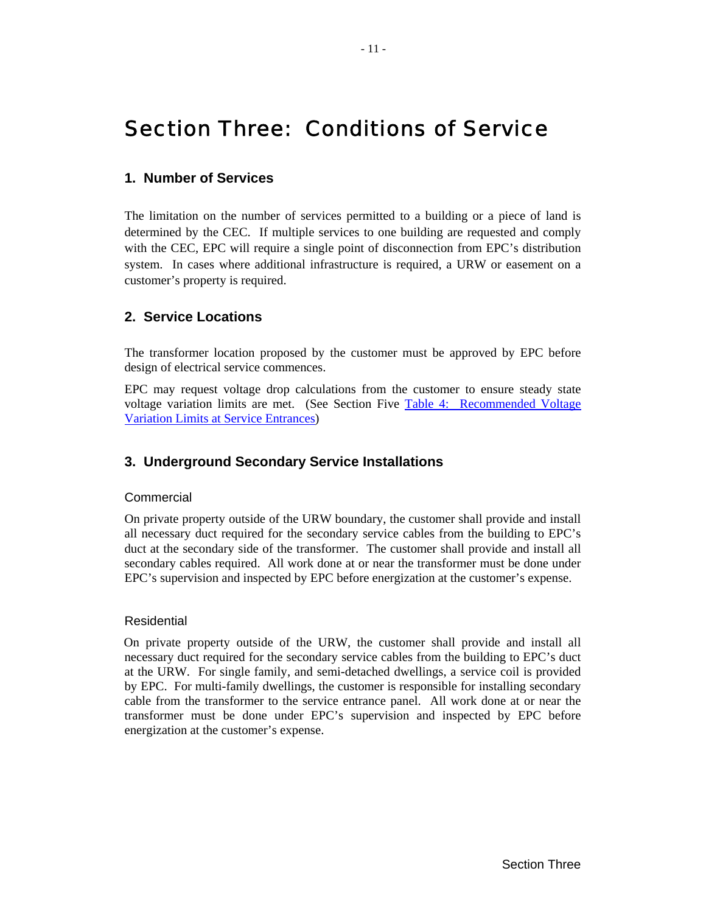# <span id="page-15-0"></span>Section Three: Conditions of Service

# **1. Number of Services**

The limitation on the number of services permitted to a building or a piece of land is determined by the CEC. If multiple services to one building are requested and comply with the CEC, EPC will require a single point of disconnection from EPC's distribution system. In cases where additional infrastructure is required, a URW or easement on a customer's property is required.

# **2. Service Locations**

The transformer location proposed by the customer must be approved by EPC before design of electrical service commences.

EPC may request voltage drop calculations from the customer to ensure steady state voltage variation limits are met. (See Section Five [Table 4: Recommended Voltage](#page-25-1) [Variation Limits at Service Entrances\)](#page-25-1)

# **3. Underground Secondary Service Installations**

#### **Commercial**

On private property outside of the URW boundary, the customer shall provide and install all necessary duct required for the secondary service cables from the building to EPC's duct at the secondary side of the transformer. The customer shall provide and install all secondary cables required. All work done at or near the transformer must be done under EPC's supervision and inspected by EPC before energization at the customer's expense.

#### Residential

On private property outside of the URW, the customer shall provide and install all necessary duct required for the secondary service cables from the building to EPC's duct at the URW. For single family, and semi-detached dwellings, a service coil is provided by EPC. For multi-family dwellings, the customer is responsible for installing secondary cable from the transformer to the service entrance panel. All work done at or near the transformer must be done under EPC's supervision and inspected by EPC before energization at the customer's expense.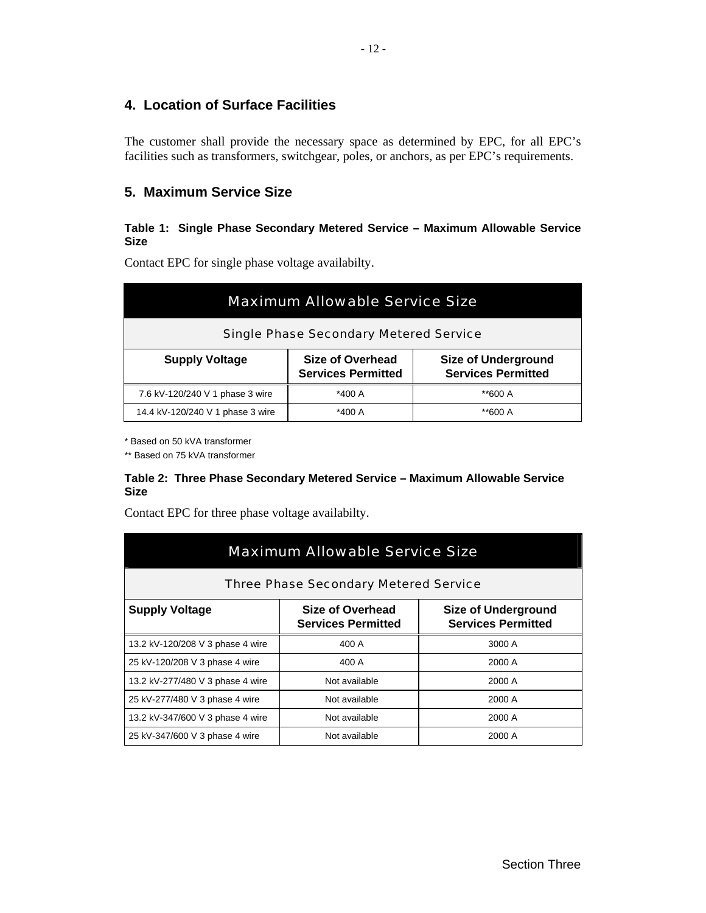# <span id="page-16-0"></span>**4. Location of Surface Facilities**

The customer shall provide the necessary space as determined by EPC, for all EPC's facilities such as transformers, switchgear, poles, or anchors, as per EPC's requirements.

# <span id="page-16-1"></span>**5. Maximum Service Size**

#### **Table 1: Single Phase Secondary Metered Service – Maximum Allowable Service Size**

Contact EPC for single phase voltage availabilty.

| <b>Maximum Allowable Service Size</b>                                                                                             |        |         |  |  |
|-----------------------------------------------------------------------------------------------------------------------------------|--------|---------|--|--|
| <b>Single Phase Secondary Metered Service</b>                                                                                     |        |         |  |  |
| Size of Overhead<br><b>Size of Underground</b><br><b>Supply Voltage</b><br><b>Services Permitted</b><br><b>Services Permitted</b> |        |         |  |  |
| 7.6 kV-120/240 V 1 phase 3 wire                                                                                                   | *400 A | **600 A |  |  |
| 14.4 kV-120/240 V 1 phase 3 wire                                                                                                  | *400 A | **600 A |  |  |

\* Based on 50 kVA transformer

\*\* Based on 75 kVA transformer

#### <span id="page-16-2"></span>**Table 2: Three Phase Secondary Metered Service – Maximum Allowable Service Size**

Contact EPC for three phase voltage availabilty.

| <b>Maximum Allowable Service Size</b>                                                                                             |               |        |  |  |
|-----------------------------------------------------------------------------------------------------------------------------------|---------------|--------|--|--|
| <b>Three Phase Secondary Metered Service</b>                                                                                      |               |        |  |  |
| Size of Overhead<br><b>Size of Underground</b><br><b>Supply Voltage</b><br><b>Services Permitted</b><br><b>Services Permitted</b> |               |        |  |  |
| 13.2 kV-120/208 V 3 phase 4 wire                                                                                                  | 400 A         | 3000 A |  |  |
| 25 kV-120/208 V 3 phase 4 wire                                                                                                    | 400 A         | 2000 A |  |  |
| 13.2 kV-277/480 V 3 phase 4 wire                                                                                                  | Not available | 2000 A |  |  |
| 25 kV-277/480 V 3 phase 4 wire                                                                                                    | Not available | 2000 A |  |  |
| 13.2 kV-347/600 V 3 phase 4 wire                                                                                                  | Not available | 2000 A |  |  |
| 25 kV-347/600 V 3 phase 4 wire                                                                                                    | Not available | 2000 A |  |  |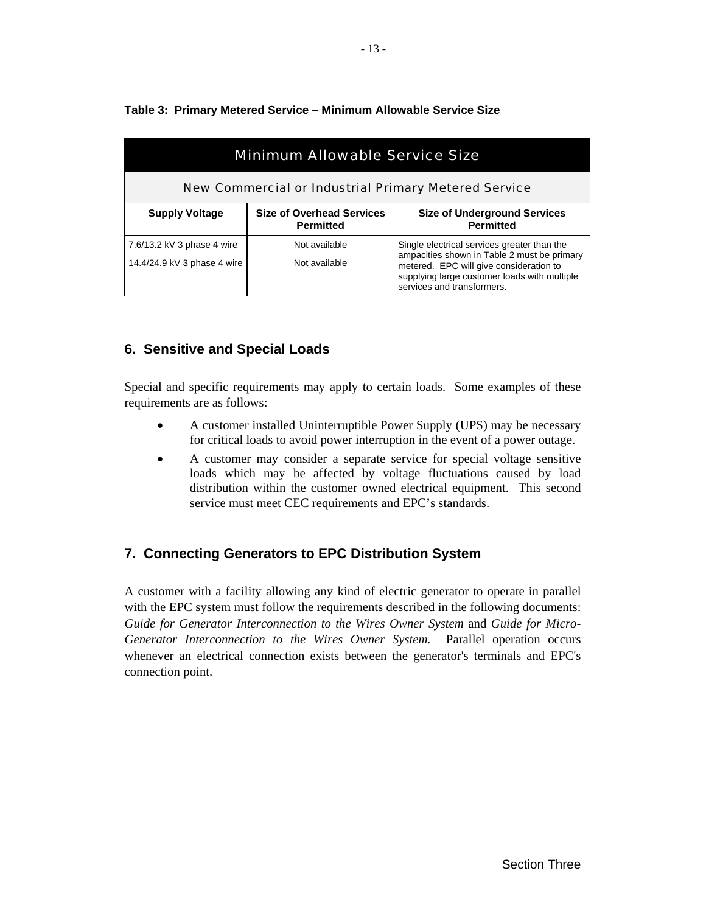| <b>Minimum Allowable Service Size</b>                       |                                                      |                                                                                                                                                                      |  |  |
|-------------------------------------------------------------|------------------------------------------------------|----------------------------------------------------------------------------------------------------------------------------------------------------------------------|--|--|
| <b>New Commercial or Industrial Primary Metered Service</b> |                                                      |                                                                                                                                                                      |  |  |
| <b>Supply Voltage</b>                                       | <b>Size of Overhead Services</b><br><b>Permitted</b> | <b>Size of Underground Services</b><br><b>Permitted</b>                                                                                                              |  |  |
| 7.6/13.2 kV 3 phase 4 wire                                  | Not available                                        | Single electrical services greater than the                                                                                                                          |  |  |
| 14.4/24.9 kV 3 phase 4 wire                                 | Not available                                        | ampacities shown in Table 2 must be primary<br>metered. EPC will give consideration to<br>supplying large customer loads with multiple<br>services and transformers. |  |  |

#### <span id="page-17-0"></span>**Table 3: Primary Metered Service – Minimum Allowable Service Size**

# **6. Sensitive and Special Loads**

Special and specific requirements may apply to certain loads. Some examples of these requirements are as follows:

- A customer installed Uninterruptible Power Supply (UPS) may be necessary for critical loads to avoid power interruption in the event of a power outage.
- A customer may consider a separate service for special voltage sensitive loads which may be affected by voltage fluctuations caused by load distribution within the customer owned electrical equipment. This second service must meet CEC requirements and EPC's standards.

# **7. Connecting Generators to EPC Distribution System**

A customer with a facility allowing any kind of electric generator to operate in parallel with the EPC system must follow the requirements described in the following documents: *Guide for Generator Interconnection to the Wires Owner System* and *Guide for Micro-Generator Interconnection to the Wires Owner System.* Parallel operation occurs whenever an electrical connection exists between the generator's terminals and EPC's connection point.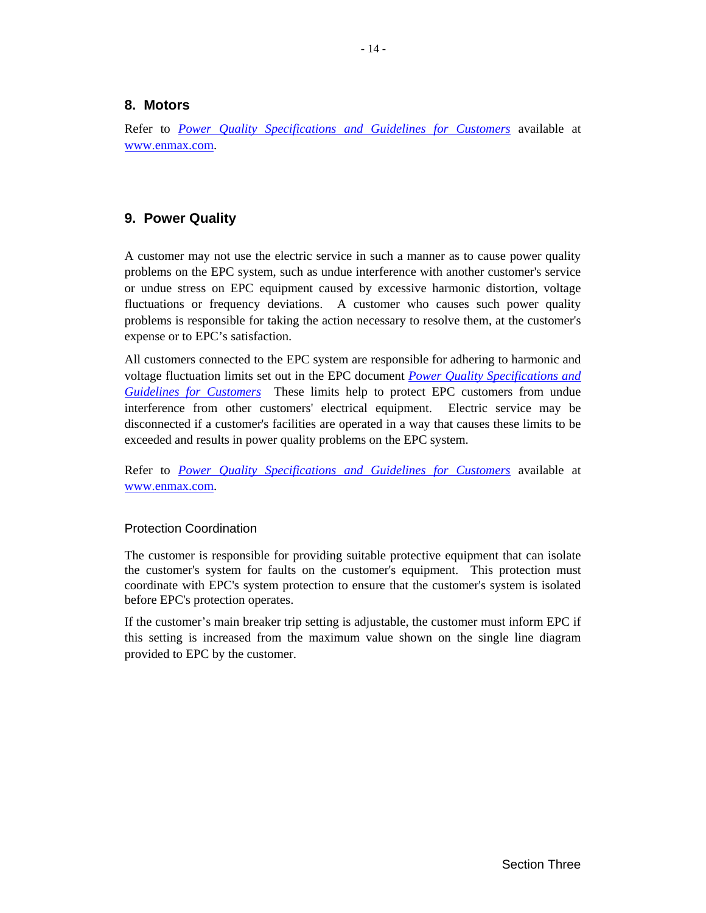#### <span id="page-18-0"></span>**8. Motors**

Refer to *[Power Quality Specifications and Guidelines for Customers](http://www.enmax.com/NR/rdonlyres/C6595645-AF03-4688-AF36-E38020E2F001/0/Powerquality_sec.pdf)* available at [www.enmax.com](http://www.enmax.com/).

# **9. Power Quality**

A customer may not use the electric service in such a manner as to cause power quality problems on the EPC system, such as undue interference with another customer's service or undue stress on EPC equipment caused by excessive harmonic distortion, voltage fluctuations or frequency deviations. A customer who causes such power quality problems is responsible for taking the action necessary to resolve them, at the customer's expense or to EPC's satisfaction.

All customers connected to the EPC system are responsible for adhering to harmonic and voltage fluctuation limits set out in the EPC document *[Power Quality Specifications and](http://www.enmax.com/NR/rdonlyres/C6595645-AF03-4688-AF36-E38020E2F001/0/Powerquality_sec.pdf)  [Guidelines for Customers](http://www.enmax.com/NR/rdonlyres/C6595645-AF03-4688-AF36-E38020E2F001/0/Powerquality_sec.pdf)* These limits help to protect EPC customers from undue interference from other customers' electrical equipment. Electric service may be disconnected if a customer's facilities are operated in a way that causes these limits to be exceeded and results in power quality problems on the EPC system.

Refer to *[Power Quality Specifications and Guidelines for Customers](http://www.enmax.com/NR/rdonlyres/C6595645-AF03-4688-AF36-E38020E2F001/0/Powerquality_sec.pdf)* available at [www.enmax.com](http://www.enmax.com/).

#### Protection Coordination

The customer is responsible for providing suitable protective equipment that can isolate the customer's system for faults on the customer's equipment. This protection must coordinate with EPC's system protection to ensure that the customer's system is isolated before EPC's protection operates.

If the customer's main breaker trip setting is adjustable, the customer must inform EPC if this setting is increased from the maximum value shown on the single line diagram provided to EPC by the customer.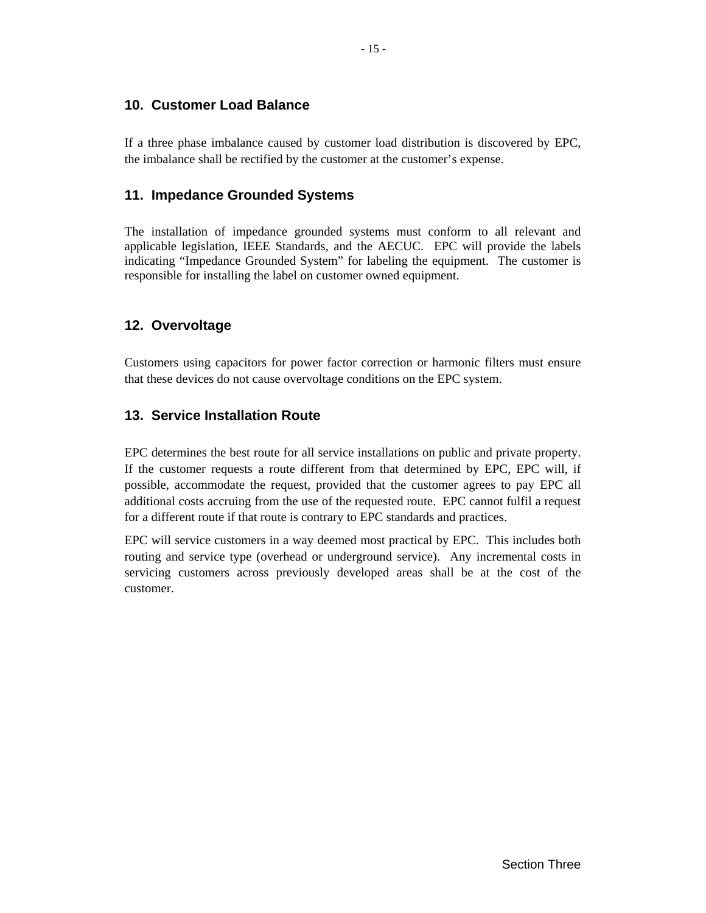# <span id="page-19-0"></span>**10. Customer Load Balance**

If a three phase imbalance caused by customer load distribution is discovered by EPC, the imbalance shall be rectified by the customer at the customer's expense.

# **11. Impedance Grounded Systems**

The installation of impedance grounded systems must conform to all relevant and applicable legislation, IEEE Standards, and the AECUC. EPC will provide the labels indicating "Impedance Grounded System" for labeling the equipment. The customer is responsible for installing the label on customer owned equipment.

# **12. Overvoltage**

Customers using capacitors for power factor correction or harmonic filters must ensure that these devices do not cause overvoltage conditions on the EPC system.

# **13. Service Installation Route**

EPC determines the best route for all service installations on public and private property. If the customer requests a route different from that determined by EPC, EPC will, if possible, accommodate the request, provided that the customer agrees to pay EPC all additional costs accruing from the use of the requested route. EPC cannot fulfil a request for a different route if that route is contrary to EPC standards and practices.

EPC will service customers in a way deemed most practical by EPC. This includes both routing and service type (overhead or underground service). Any incremental costs in servicing customers across previously developed areas shall be at the cost of the customer.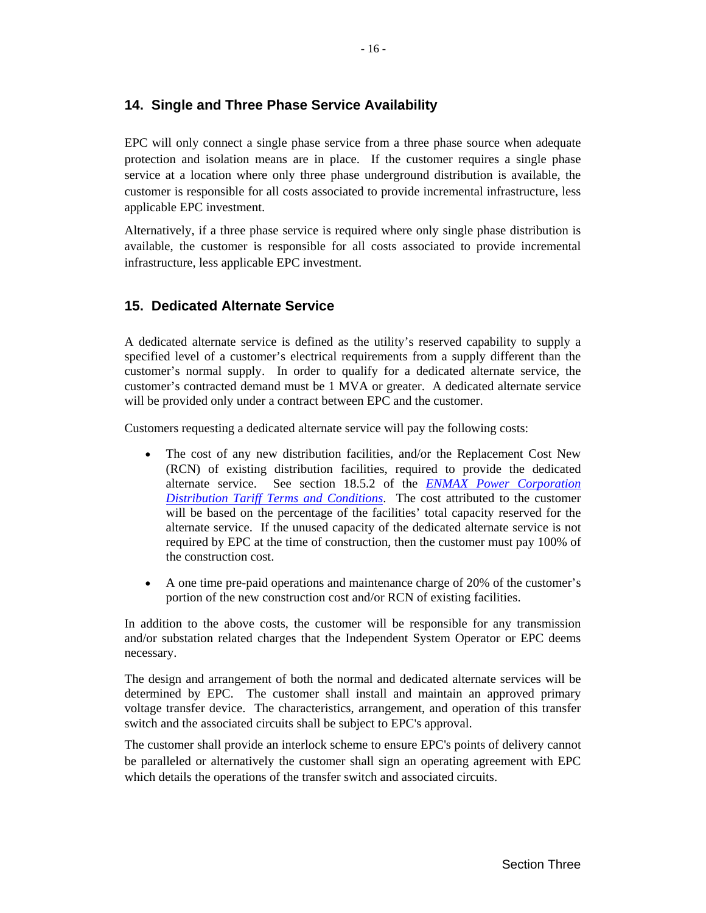# <span id="page-20-0"></span>**14. Single and Three Phase Service Availability**

EPC will only connect a single phase service from a three phase source when adequate protection and isolation means are in place. If the customer requires a single phase service at a location where only three phase underground distribution is available, the customer is responsible for all costs associated to provide incremental infrastructure, less applicable EPC investment.

Alternatively, if a three phase service is required where only single phase distribution is available, the customer is responsible for all costs associated to provide incremental infrastructure, less applicable EPC investment.

# **15. Dedicated Alternate Service**

A dedicated alternate service is defined as the utility's reserved capability to supply a specified level of a customer's electrical requirements from a supply different than the customer's normal supply. In order to qualify for a dedicated alternate service, the customer's contracted demand must be 1 MVA or greater. A dedicated alternate service will be provided only under a contract between EPC and the customer.

Customers requesting a dedicated alternate service will pay the following costs:

- The cost of any new distribution facilities, and/or the Replacement Cost New (RCN) of existing distribution facilities, required to provide the dedicated alternate service. See section 18.5.2 of the *[ENMAX Power Corporation](http://www.enmax.com/NR/rdonlyres/C74A6585-E2FD-4633-A333-A242289894F3/0/DT_terms_conditions.pdf) [Distribution Tariff Terms and Conditions](http://www.enmax.com/NR/rdonlyres/C74A6585-E2FD-4633-A333-A242289894F3/0/DT_terms_conditions.pdf)*. The cost attributed to the customer will be based on the percentage of the facilities' total capacity reserved for the alternate service. If the unused capacity of the dedicated alternate service is not required by EPC at the time of construction, then the customer must pay 100% of the construction cost.
- A one time pre-paid operations and maintenance charge of 20% of the customer's portion of the new construction cost and/or RCN of existing facilities.

In addition to the above costs, the customer will be responsible for any transmission and/or substation related charges that the Independent System Operator or EPC deems necessary.

The design and arrangement of both the normal and dedicated alternate services will be determined by EPC. The customer shall install and maintain an approved primary voltage transfer device. The characteristics, arrangement, and operation of this transfer switch and the associated circuits shall be subject to EPC's approval.

The customer shall provide an interlock scheme to ensure EPC's points of delivery cannot be paralleled or alternatively the customer shall sign an operating agreement with EPC which details the operations of the transfer switch and associated circuits.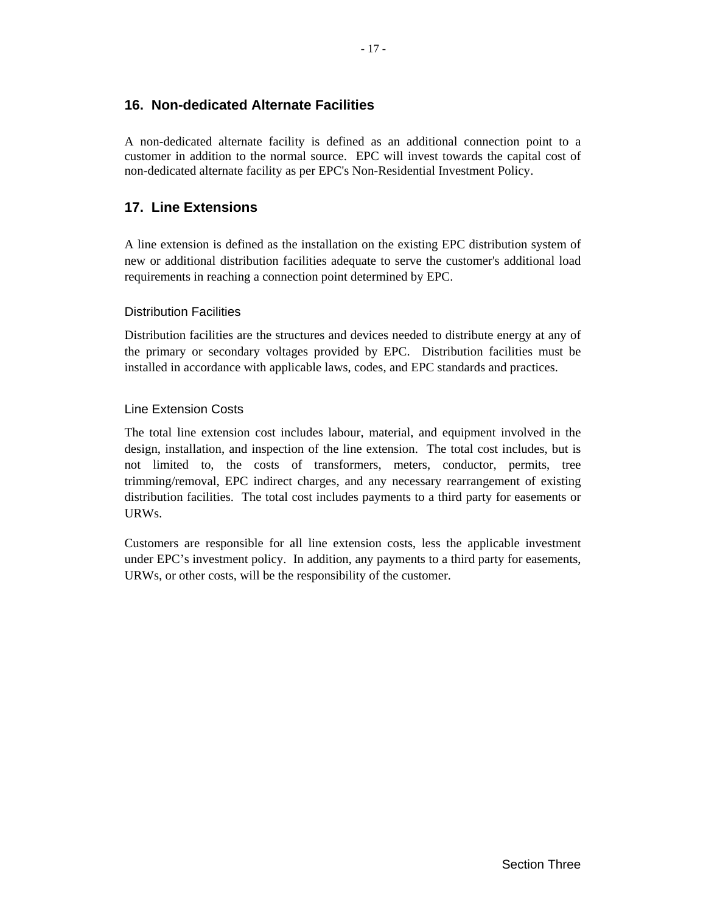# <span id="page-21-0"></span>**16. Non-dedicated Alternate Facilities**

A non-dedicated alternate facility is defined as an additional connection point to a customer in addition to the normal source. EPC will invest towards the capital cost of non-dedicated alternate facility as per EPC's Non-Residential Investment Policy.

# **17. Line Extensions**

A line extension is defined as the installation on the existing EPC distribution system of new or additional distribution facilities adequate to serve the customer's additional load requirements in reaching a connection point determined by EPC.

#### Distribution Facilities

Distribution facilities are the structures and devices needed to distribute energy at any of the primary or secondary voltages provided by EPC. Distribution facilities must be installed in accordance with applicable laws, codes, and EPC standards and practices.

#### Line Extension Costs

The total line extension cost includes labour, material, and equipment involved in the design, installation, and inspection of the line extension. The total cost includes, but is not limited to, the costs of transformers, meters, conductor, permits, tree trimming/removal, EPC indirect charges, and any necessary rearrangement of existing distribution facilities. The total cost includes payments to a third party for easements or URWs.

Customers are responsible for all line extension costs, less the applicable investment under EPC's investment policy. In addition, any payments to a third party for easements, URWs, or other costs, will be the responsibility of the customer.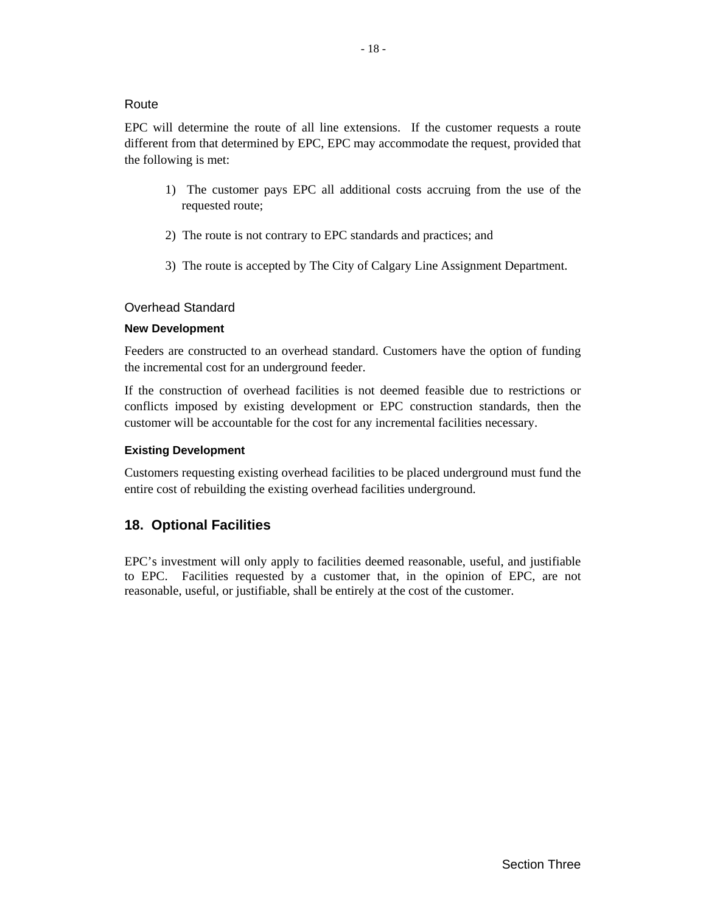#### <span id="page-22-0"></span>Route

EPC will determine the route of all line extensions. If the customer requests a route different from that determined by EPC, EPC may accommodate the request, provided that the following is met:

- 1) The customer pays EPC all additional costs accruing from the use of the requested route;
- 2) The route is not contrary to EPC standards and practices; and
- 3) The route is accepted by The City of Calgary Line Assignment Department.

#### Overhead Standard

#### **New Development**

Feeders are constructed to an overhead standard. Customers have the option of funding the incremental cost for an underground feeder.

If the construction of overhead facilities is not deemed feasible due to restrictions or conflicts imposed by existing development or EPC construction standards, then the customer will be accountable for the cost for any incremental facilities necessary.

#### **Existing Development**

Customers requesting existing overhead facilities to be placed underground must fund the entire cost of rebuilding the existing overhead facilities underground.

# **18. Optional Facilities**

EPC's investment will only apply to facilities deemed reasonable, useful, and justifiable to EPC. Facilities requested by a customer that, in the opinion of EPC, are not reasonable, useful, or justifiable, shall be entirely at the cost of the customer.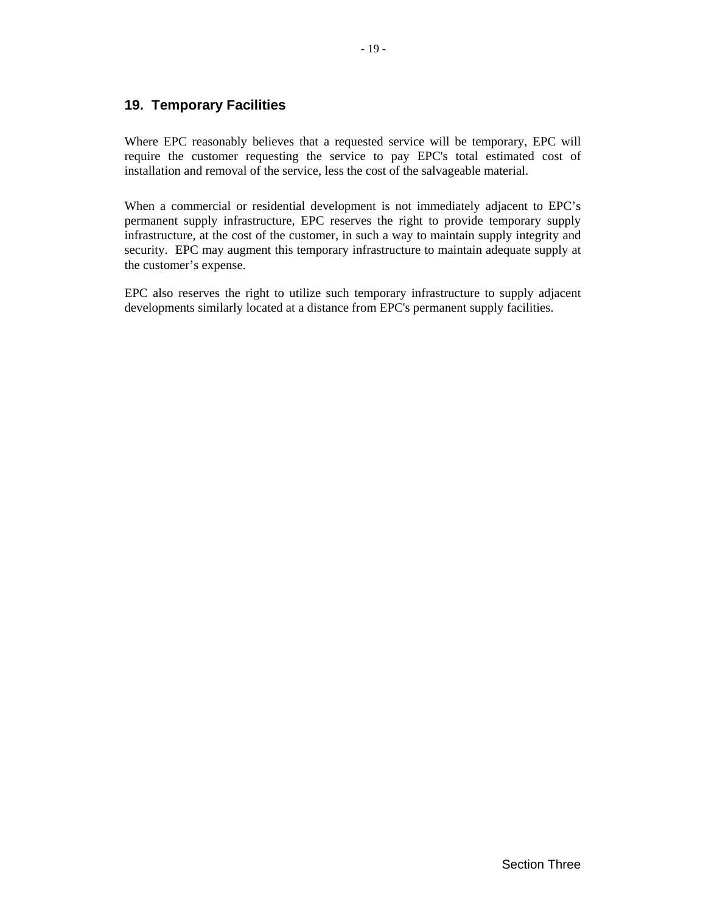# <span id="page-23-0"></span>**19. Temporary Facilities**

Where EPC reasonably believes that a requested service will be temporary, EPC will require the customer requesting the service to pay EPC's total estimated cost of installation and removal of the service, less the cost of the salvageable material.

When a commercial or residential development is not immediately adjacent to EPC's permanent supply infrastructure, EPC reserves the right to provide temporary supply infrastructure, at the cost of the customer, in such a way to maintain supply integrity and security. EPC may augment this temporary infrastructure to maintain adequate supply at the customer's expense.

EPC also reserves the right to utilize such temporary infrastructure to supply adjacent developments similarly located at a distance from EPC's permanent supply facilities.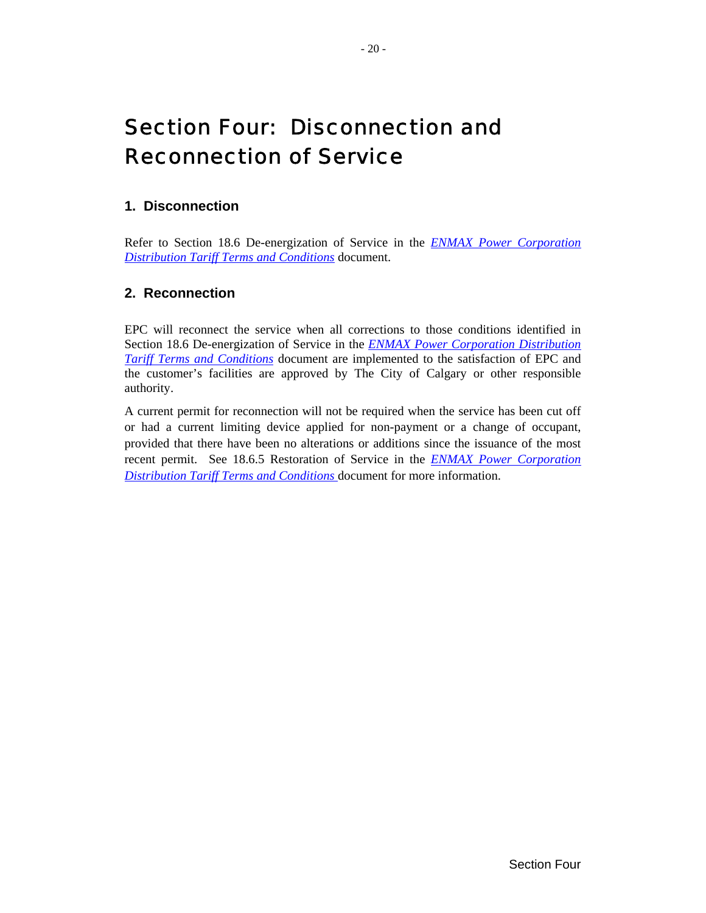# <span id="page-24-0"></span>Section Four: Disconnection and Reconnection of Service

# **1. Disconnection**

Refer to Section 18.6 De-energization of Service in the *[ENMAX Power Corporation](http://www.enmax.com/NR/rdonlyres/C74A6585-E2FD-4633-A333-A242289894F3/0/DT_terms_conditions.pdf)  [Distribution Tariff Terms and Conditions](http://www.enmax.com/NR/rdonlyres/C74A6585-E2FD-4633-A333-A242289894F3/0/DT_terms_conditions.pdf)* document.

# **2. Reconnection**

EPC will reconnect the service when all corrections to those conditions identified in Section 18.6 De-energization of Service in the *[ENMAX Power Corporation Distribution](http://www.enmax.com/NR/rdonlyres/C74A6585-E2FD-4633-A333-A242289894F3/0/DT_terms_conditions.pdf)  [Tariff Terms and Conditions](http://www.enmax.com/NR/rdonlyres/C74A6585-E2FD-4633-A333-A242289894F3/0/DT_terms_conditions.pdf)* document are implemented to the satisfaction of EPC and the customer's facilities are approved by The City of Calgary or other responsible authority.

A current permit for reconnection will not be required when the service has been cut off or had a current limiting device applied for non-payment or a change of occupant, provided that there have been no alterations or additions since the issuance of the most recent permit. See 18.6.5 Restoration of Service in the *[ENMAX Power Corporation](http://www.enmax.com/NR/rdonlyres/C74A6585-E2FD-4633-A333-A242289894F3/0/DT_terms_conditions.pdf)  [Distribution Tariff Terms and Conditions](http://www.enmax.com/NR/rdonlyres/C74A6585-E2FD-4633-A333-A242289894F3/0/DT_terms_conditions.pdf)* document for more information.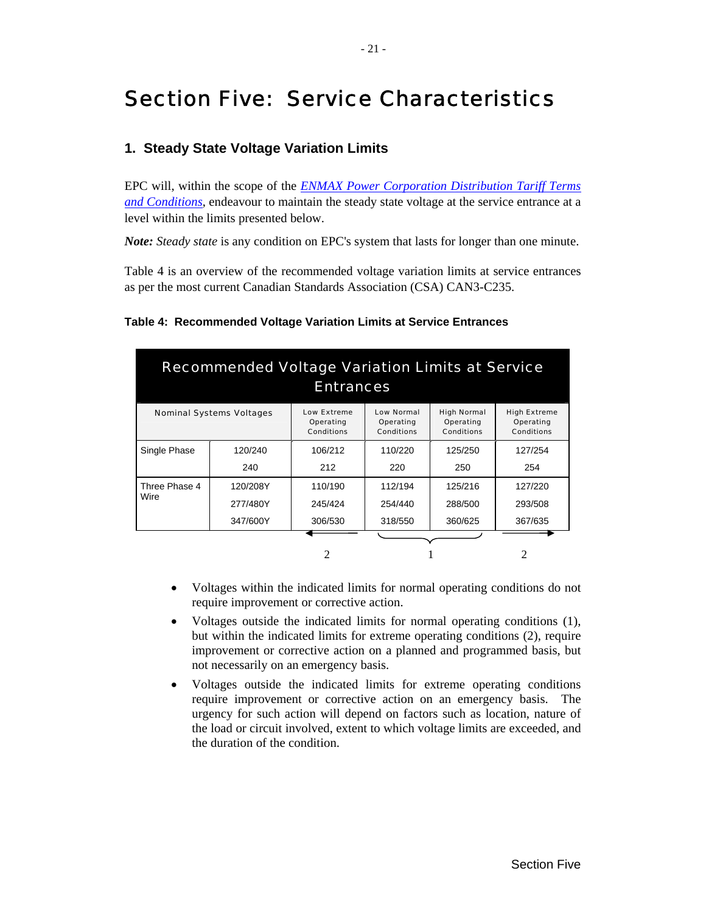# <span id="page-25-0"></span>Section Five: Service Characteristics

## **1. Steady State Voltage Variation Limits**

EPC will, within the scope of the *[ENMAX Power Corporation Distribution Tariff Terms](http://www.enmax.com/NR/rdonlyres/C74A6585-E2FD-4633-A333-A242289894F3/0/DT_terms_conditions.pdf)  [and Conditions](http://www.enmax.com/NR/rdonlyres/C74A6585-E2FD-4633-A333-A242289894F3/0/DT_terms_conditions.pdf)*, endeavour to maintain the steady state voltage at the service entrance at a level within the limits presented below.

*Note: Steady state* is any condition on EPC's system that lasts for longer than one minute.

[Table 4](#page-25-1) is an overview of the recommended voltage variation limits at service entrances as per the most current Canadian Standards Association (CSA) CAN3-C235.

| <b>Recommended Voltage Variation Limits at Service</b><br><b>Entrances</b>                                                                                                                                                                                      |          |                |         |         |         |
|-----------------------------------------------------------------------------------------------------------------------------------------------------------------------------------------------------------------------------------------------------------------|----------|----------------|---------|---------|---------|
| <b>Low Normal</b><br><b>High Normal</b><br><b>High Extreme</b><br><b>Low Extreme</b><br><b>Nominal Systems Voltages</b><br>Operating<br>Operating<br>Operating<br>Operating<br><b>Conditions</b><br><b>Conditions</b><br><b>Conditions</b><br><b>Conditions</b> |          |                |         |         |         |
| Single Phase                                                                                                                                                                                                                                                    | 120/240  | 106/212        | 110/220 | 125/250 | 127/254 |
|                                                                                                                                                                                                                                                                 | 240      | 212            | 220     | 250     | 254     |
| Three Phase 4                                                                                                                                                                                                                                                   | 120/208Y | 110/190        | 112/194 | 125/216 | 127/220 |
| Wire                                                                                                                                                                                                                                                            | 277/480Y | 245/424        | 254/440 | 288/500 | 293/508 |
|                                                                                                                                                                                                                                                                 | 347/600Y | 306/530        | 318/550 | 360/625 | 367/635 |
|                                                                                                                                                                                                                                                                 |          |                |         |         |         |
|                                                                                                                                                                                                                                                                 |          | $\mathfrak{D}$ |         |         |         |

#### <span id="page-25-1"></span>**Table 4: Recommended Voltage Variation Limits at Service Entrances**

- Voltages within the indicated limits for normal operating conditions do not require improvement or corrective action.
- Voltages outside the indicated limits for normal operating conditions (1), but within the indicated limits for extreme operating conditions (2), require improvement or corrective action on a planned and programmed basis, but not necessarily on an emergency basis.
- Voltages outside the indicated limits for extreme operating conditions require improvement or corrective action on an emergency basis. The urgency for such action will depend on factors such as location, nature of the load or circuit involved, extent to which voltage limits are exceeded, and the duration of the condition.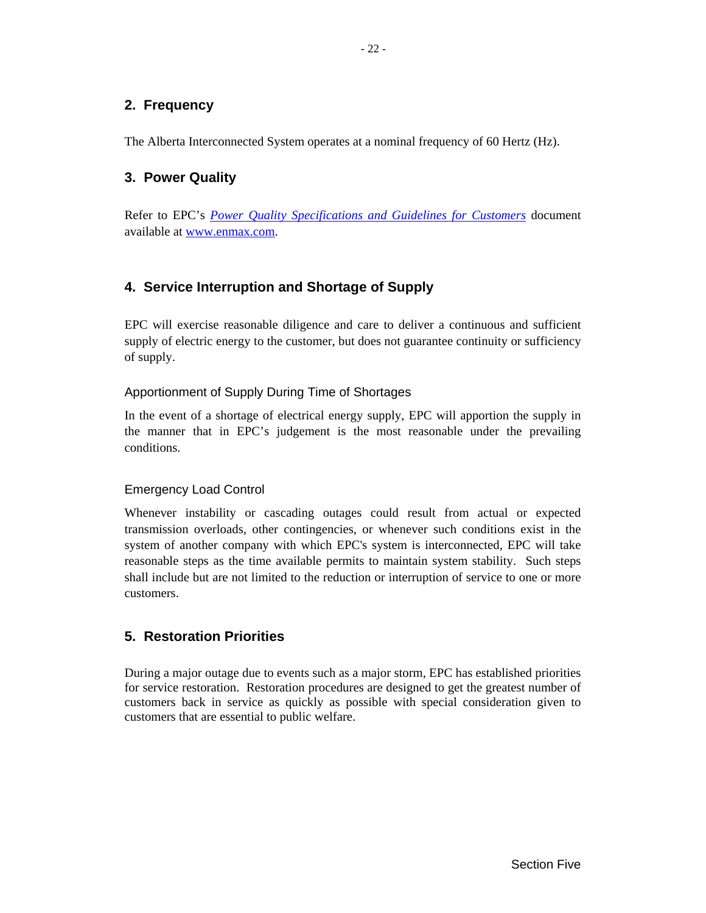# <span id="page-26-0"></span>**2. Frequency**

The Alberta Interconnected System operates at a nominal frequency of 60 Hertz (Hz).

# **3. Power Quality**

Refer to EPC's *Power Quality Specifications [and Guidelines for Customers](http://www.enmax.com/NR/rdonlyres/C6595645-AF03-4688-AF36-E38020E2F001/0/Powerquality_sec.pdf)* document available at www.enmax.com.

# **4. Service Interruption and Shortage of Supply**

EPC will exercise reasonable diligence and care to deliver a continuous and sufficient supply of electric energy to the customer, but does not guarantee continuity or sufficiency of supply.

# Apportionment of Supply During Time of Shortages

In the event of a shortage of electrical energy supply, EPC will apportion the supply in the manner that in EPC's judgement is the most reasonable under the prevailing conditions.

#### Emergency Load Control

Whenever instability or cascading outages could result from actual or expected transmission overloads, other contingencies, or whenever such conditions exist in the system of another company with which EPC's system is interconnected, EPC will take reasonable steps as the time available permits to maintain system stability. Such steps shall include but are not limited to the reduction or interruption of service to one or more customers.

# **5. Restoration Priorities**

During a major outage due to events such as a major storm, EPC has established priorities for service restoration. Restoration procedures are designed to get the greatest number of customers back in service as quickly as possible with special consideration given to customers that are essential to public welfare.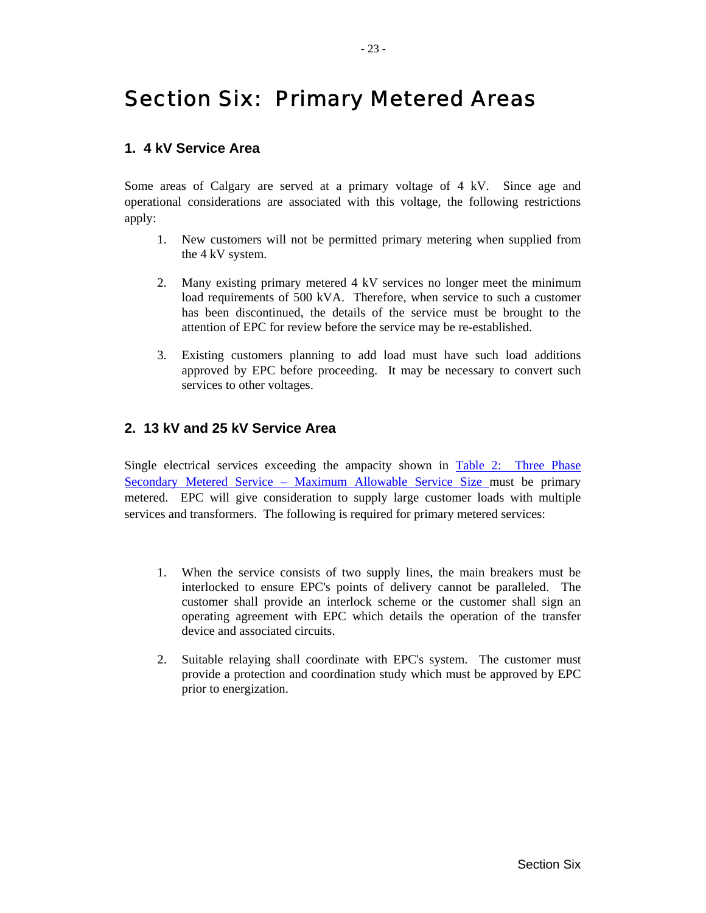# <span id="page-27-1"></span><span id="page-27-0"></span>Section Six: Primary Metered Areas

## **1. 4 kV Service Area**

Some areas of Calgary are served at a primary voltage of 4 kV. Since age and operational considerations are associated with this voltage, the following restrictions apply:

- 1. New customers will not be permitted primary metering when supplied from the 4 kV system.
- 2. Many existing primary metered 4 kV services no longer meet the minimum load requirements of 500 kVA. Therefore, when service to such a customer has been discontinued, the details of the service must be brought to the attention of EPC for review before the service may be re-established.
- 3. Existing customers planning to add load must have such load additions approved by EPC before proceeding. It may be necessary to convert such services to other voltages.

# **2. 13 kV and 25 kV Service Area**

Single electrical services exceeding the ampacity shown in [Table 2: Three Phase](#page-16-2) Secondary Metered Service – Maximum Allowable Service Size must be primary [metered. EPC will give consideration to supply large customer lo](#page-16-2)ads with multiple services and transformers. The following is required for primary metered services:

- 1. When the service consists of two supply lines, the main breakers must be interlocked to ensure EPC's points of delivery cannot be paralleled. The customer shall provide an interlock scheme or the customer shall sign an operating agreement with EPC which details the operation of the transfer device and associated circuits.
- 2. Suitable relaying shall coordinate with EPC's system. The customer must provide a protection and coordination study which must be approved by EPC prior to energization.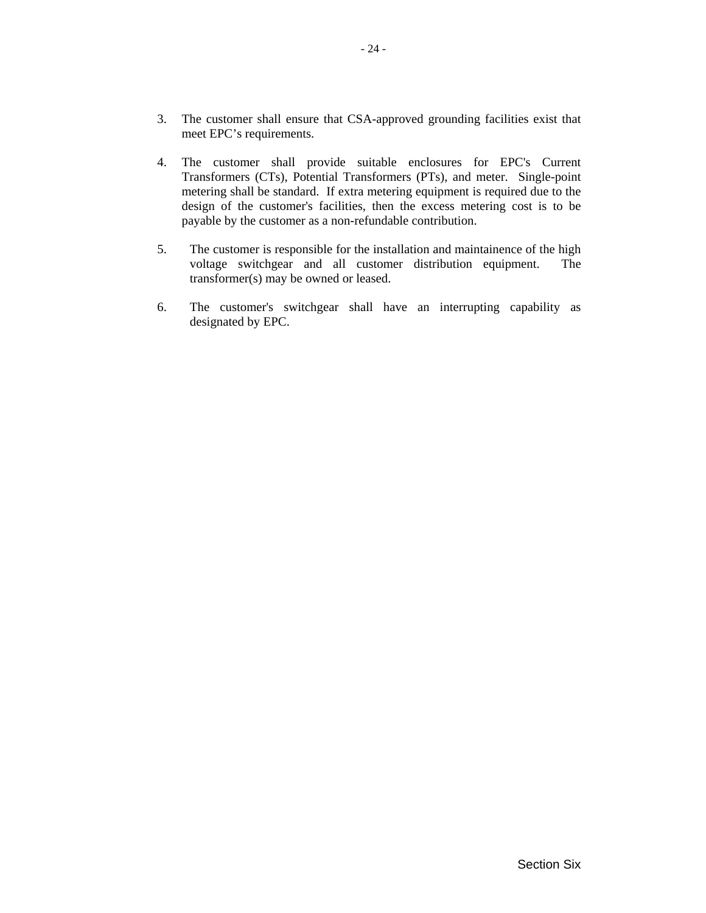- 3. The customer shall ensure that CSA-approved grounding facilities exist that meet EPC's requirements.
- 4. The customer shall provide suitable enclosures for EPC's Current Transformers (CTs), Potential Transformers (PTs), and meter. Single-point metering shall be standard. If extra metering equipment is required due to the design of the customer's facilities, then the excess metering cost is to be payable by the customer as a non-refundable contribution.
- 5. The customer is responsible for the installation and maintainence of the high voltage switchgear and all customer distribution equipment. The transformer(s) may be owned or leased.
- 6. The customer's switchgear shall have an interrupting capability as designated by EPC.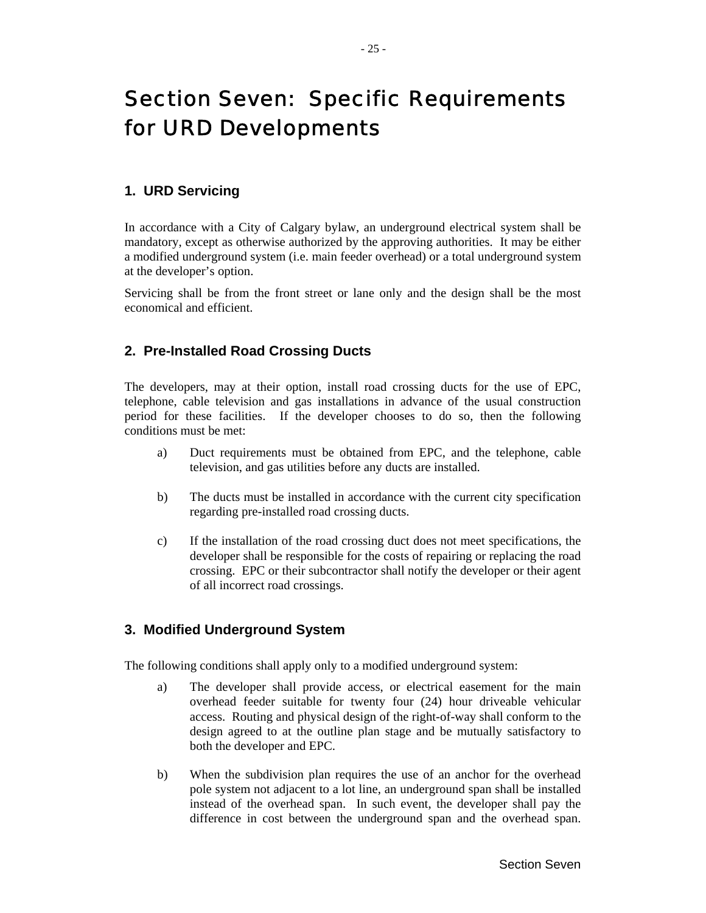# <span id="page-29-0"></span>Section Seven: Specific Requirements for URD Developments

#### **1. URD Servicing**

In accordance with a City of Calgary bylaw, an underground electrical system shall be mandatory, except as otherwise authorized by the approving authorities. It may be either a modified underground system (i.e. main feeder overhead) or a total underground system at the developer's option.

Servicing shall be from the front street or lane only and the design shall be the most economical and efficient.

# **2. Pre-Installed Road Crossing Ducts**

The developers, may at their option, install road crossing ducts for the use of EPC, telephone, cable television and gas installations in advance of the usual construction period for these facilities. If the developer chooses to do so, then the following conditions must be met:

- a) Duct requirements must be obtained from EPC, and the telephone, cable television, and gas utilities before any ducts are installed.
- b) The ducts must be installed in accordance with the current city specification regarding pre-installed road crossing ducts.
- c) If the installation of the road crossing duct does not meet specifications, the developer shall be responsible for the costs of repairing or replacing the road crossing. EPC or their subcontractor shall notify the developer or their agent of all incorrect road crossings.

#### **3. Modified Underground System**

The following conditions shall apply only to a modified underground system:

- a) The developer shall provide access, or electrical easement for the main overhead feeder suitable for twenty four (24) hour driveable vehicular access. Routing and physical design of the right-of-way shall conform to the design agreed to at the outline plan stage and be mutually satisfactory to both the developer and EPC.
- b) When the subdivision plan requires the use of an anchor for the overhead pole system not adjacent to a lot line, an underground span shall be installed instead of the overhead span. In such event, the developer shall pay the difference in cost between the underground span and the overhead span.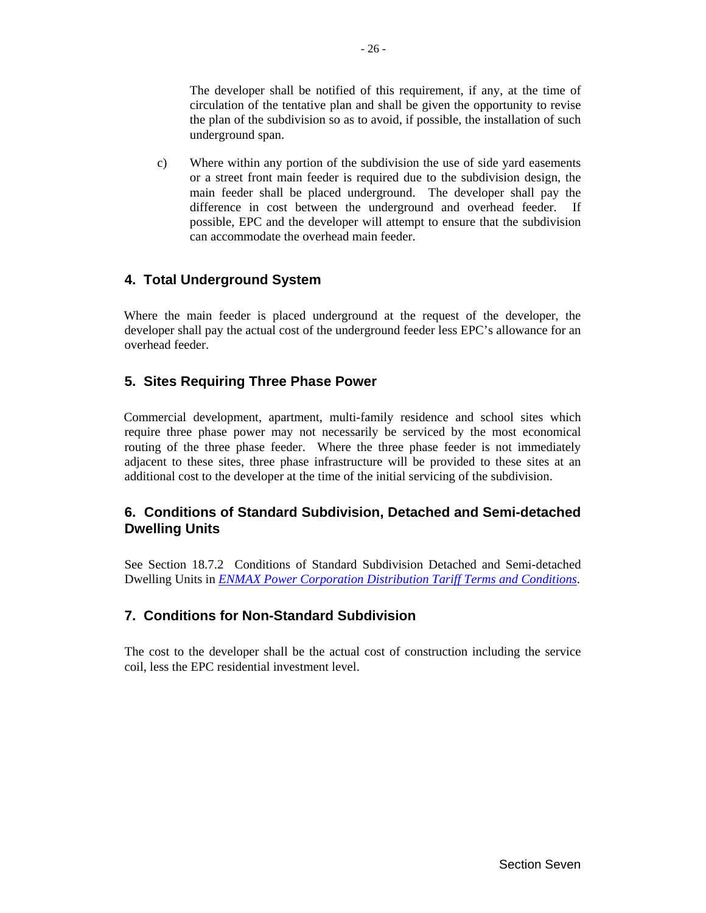<span id="page-30-0"></span>The developer shall be notified of this requirement, if any, at the time of circulation of the tentative plan and shall be given the opportunity to revise the plan of the subdivision so as to avoid, if possible, the installation of such underground span.

c) Where within any portion of the subdivision the use of side yard easements or a street front main feeder is required due to the subdivision design, the main feeder shall be placed underground. The developer shall pay the difference in cost between the underground and overhead feeder. If possible, EPC and the developer will attempt to ensure that the subdivision can accommodate the overhead main feeder.

# **4. Total Underground System**

Where the main feeder is placed underground at the request of the developer, the developer shall pay the actual cost of the underground feeder less EPC's allowance for an overhead feeder.

# **5. Sites Requiring Three Phase Power**

Commercial development, apartment, multi-family residence and school sites which require three phase power may not necessarily be serviced by the most economical routing of the three phase feeder. Where the three phase feeder is not immediately adjacent to these sites, three phase infrastructure will be provided to these sites at an additional cost to the developer at the time of the initial servicing of the subdivision.

# **6. Conditions of Standard Subdivision, Detached and Semi-detached Dwelling Units**

See Section 18.7.2 Conditions of Standard Subdivision Detached and Semi-detached Dwelling Units in *[ENMAX Power Corporation Distribution Tariff Terms and Conditions](http://www.enmax.com/NR/rdonlyres/C74A6585-E2FD-4633-A333-A242289894F3/0/DT_terms_conditions.pdf)*.

# **7. Conditions for Non-Standard Subdivision**

The cost to the developer shall be the actual cost of construction including the service coil, less the EPC residential investment level.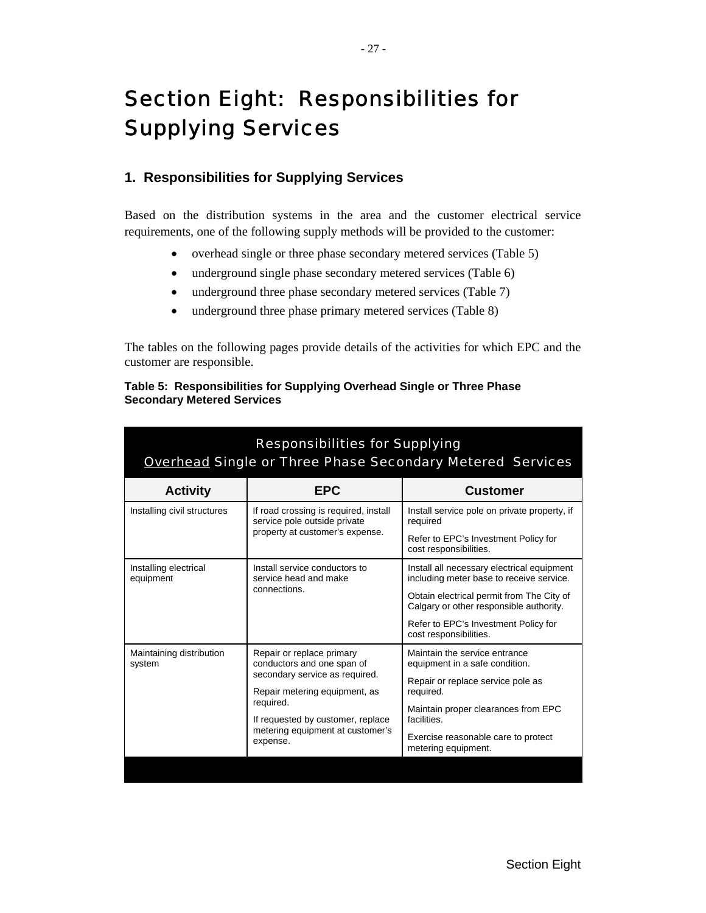# <span id="page-31-0"></span>Section Eight: Responsibilities for Supplying Services

# **1. Responsibilities for Supplying Services**

Based on the distribution systems in the area and the customer electrical service requirements, one of the following supply methods will be provided to the customer:

- overhead single or three phase secondary metered services (Table 5)
- underground single phase secondary metered services (Table 6)
- underground three phase secondary metered services (Table 7)
- underground three phase primary metered services (Table 8)

The tables on the following pages provide details of the activities for which EPC and the customer are responsible.

|                                   | Table 5: Responsibilities for Supplying Overhead Single or Three Phase |  |
|-----------------------------------|------------------------------------------------------------------------|--|
| <b>Secondary Metered Services</b> |                                                                        |  |

| <b>Responsibilities for Supplying</b><br><b>Overhead Single or Three Phase Secondary Metered Services</b> |                                                                       |                                                                                        |  |  |
|-----------------------------------------------------------------------------------------------------------|-----------------------------------------------------------------------|----------------------------------------------------------------------------------------|--|--|
| <b>Activity</b>                                                                                           | <b>EPC</b>                                                            | Customer                                                                               |  |  |
| Installing civil structures                                                                               | If road crossing is required, install<br>service pole outside private | Install service pole on private property, if<br>required                               |  |  |
|                                                                                                           | property at customer's expense.                                       | Refer to EPC's Investment Policy for<br>cost responsibilities.                         |  |  |
| Installing electrical<br>equipment                                                                        | Install service conductors to<br>service head and make                | Install all necessary electrical equipment<br>including meter base to receive service. |  |  |
|                                                                                                           | connections.                                                          | Obtain electrical permit from The City of<br>Calgary or other responsible authority.   |  |  |
|                                                                                                           |                                                                       | Refer to EPC's Investment Policy for<br>cost responsibilities.                         |  |  |
| Maintaining distribution<br>system                                                                        | Repair or replace primary<br>conductors and one span of               | Maintain the service entrance<br>equipment in a safe condition.                        |  |  |
|                                                                                                           | secondary service as required.<br>Repair metering equipment, as       | Repair or replace service pole as<br>required.                                         |  |  |
|                                                                                                           | required.<br>If requested by customer, replace                        | Maintain proper clearances from EPC<br>facilities.                                     |  |  |
| metering equipment at customer's<br>expense.                                                              |                                                                       | Exercise reasonable care to protect<br>metering equipment.                             |  |  |
|                                                                                                           |                                                                       |                                                                                        |  |  |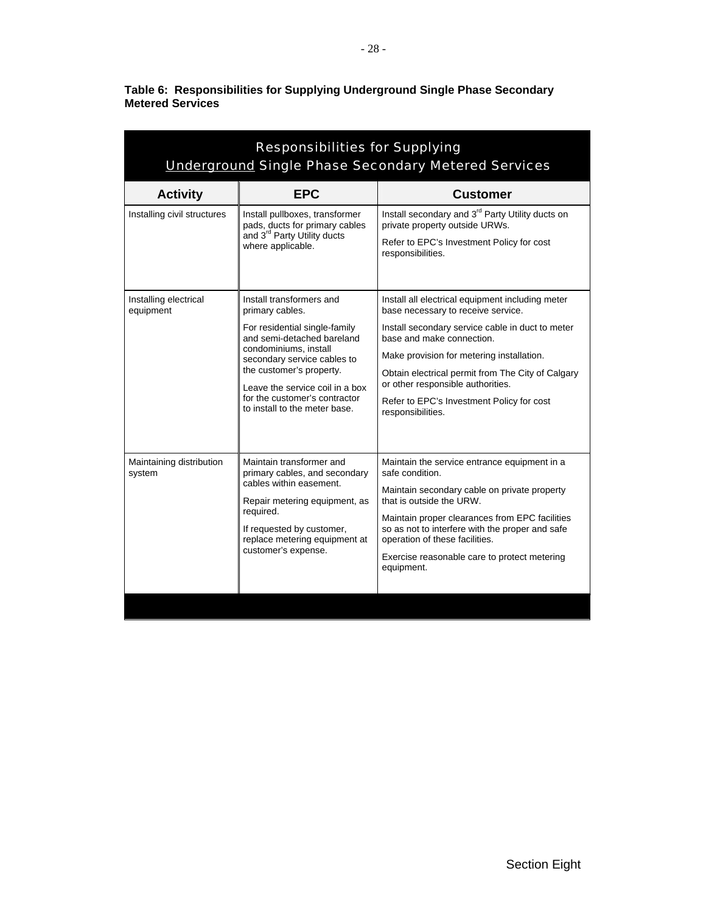<span id="page-32-0"></span>

| Table 6: Responsibilities for Supplying Underground Single Phase Secondary |  |  |
|----------------------------------------------------------------------------|--|--|
| <b>Metered Services</b>                                                    |  |  |

| <b>Responsibilities for Supplying</b><br><b>Underground Single Phase Secondary Metered Services</b> |                                                                                                                                                                                                                                                                                                     |                                                                                                                                                                                                                                                                                                                                                                                  |  |  |
|-----------------------------------------------------------------------------------------------------|-----------------------------------------------------------------------------------------------------------------------------------------------------------------------------------------------------------------------------------------------------------------------------------------------------|----------------------------------------------------------------------------------------------------------------------------------------------------------------------------------------------------------------------------------------------------------------------------------------------------------------------------------------------------------------------------------|--|--|
| <b>Activity</b>                                                                                     | <b>EPC</b>                                                                                                                                                                                                                                                                                          | <b>Customer</b>                                                                                                                                                                                                                                                                                                                                                                  |  |  |
| Installing civil structures                                                                         | Install pullboxes, transformer<br>pads, ducts for primary cables<br>and 3 <sup>rd</sup> Party Utility ducts<br>where applicable.                                                                                                                                                                    | Install secondary and 3 <sup>rd</sup> Party Utility ducts on<br>private property outside URWs.<br>Refer to EPC's Investment Policy for cost<br>responsibilities.                                                                                                                                                                                                                 |  |  |
| Installing electrical<br>equipment                                                                  | Install transformers and<br>primary cables.<br>For residential single-family<br>and semi-detached bareland<br>condominiums, install<br>secondary service cables to<br>the customer's property.<br>Leave the service coil in a box<br>for the customer's contractor<br>to install to the meter base. | Install all electrical equipment including meter<br>base necessary to receive service.<br>Install secondary service cable in duct to meter<br>base and make connection.<br>Make provision for metering installation.<br>Obtain electrical permit from The City of Calgary<br>or other responsible authorities.<br>Refer to EPC's Investment Policy for cost<br>responsibilities. |  |  |
| Maintaining distribution<br>system                                                                  | Maintain transformer and<br>primary cables, and secondary<br>cables within easement.<br>Repair metering equipment, as<br>required.<br>If requested by customer,<br>replace metering equipment at<br>customer's expense.                                                                             | Maintain the service entrance equipment in a<br>safe condition.<br>Maintain secondary cable on private property<br>that is outside the URW.<br>Maintain proper clearances from EPC facilities<br>so as not to interfere with the proper and safe<br>operation of these facilities.<br>Exercise reasonable care to protect metering<br>equipment.                                 |  |  |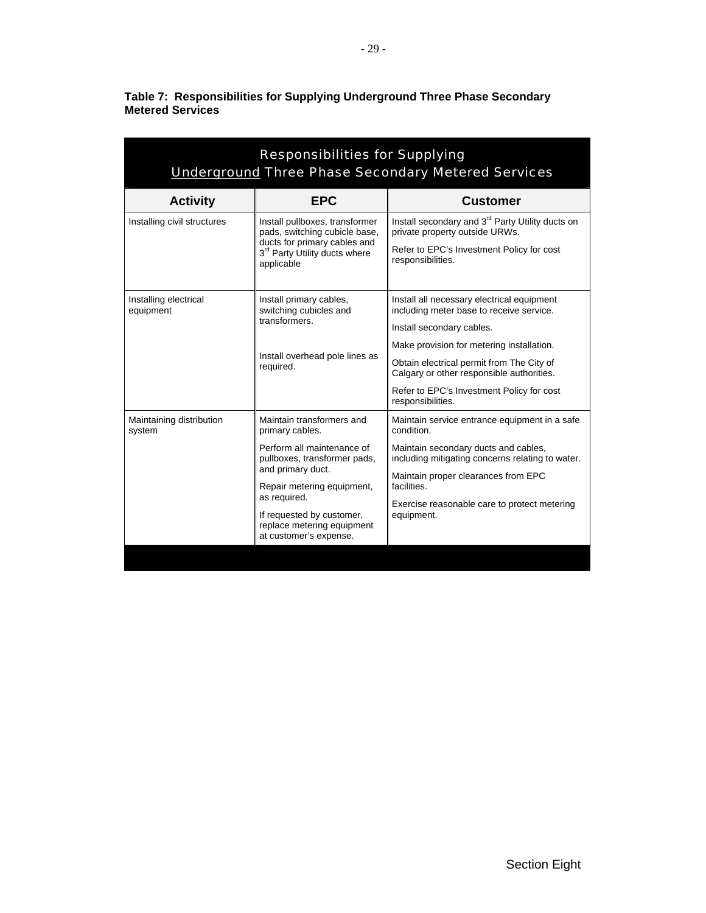| <b>Responsibilities for Supplying</b><br><b>Underground Three Phase Secondary Metered Services</b> |                                                                                                                                                                                                                                                                    |                                                                                                                                                                                                                                                                                                                              |  |
|----------------------------------------------------------------------------------------------------|--------------------------------------------------------------------------------------------------------------------------------------------------------------------------------------------------------------------------------------------------------------------|------------------------------------------------------------------------------------------------------------------------------------------------------------------------------------------------------------------------------------------------------------------------------------------------------------------------------|--|
| <b>Activity</b>                                                                                    | <b>EPC</b>                                                                                                                                                                                                                                                         | <b>Customer</b>                                                                                                                                                                                                                                                                                                              |  |
| Installing civil structures                                                                        | Install pullboxes, transformer<br>pads, switching cubicle base,<br>ducts for primary cables and<br>3rd Party Utility ducts where<br>applicable                                                                                                                     | Install secondary and 3 <sup>rd</sup> Party Utility ducts on<br>private property outside URWs.<br>Refer to EPC's Investment Policy for cost<br>responsibilities.                                                                                                                                                             |  |
| Installing electrical<br>equipment                                                                 | Install primary cables,<br>switching cubicles and<br>transformers.<br>Install overhead pole lines as<br>required.                                                                                                                                                  | Install all necessary electrical equipment<br>including meter base to receive service.<br>Install secondary cables.<br>Make provision for metering installation.<br>Obtain electrical permit from The City of<br>Calgary or other responsible authorities.<br>Refer to EPC's Investment Policy for cost<br>responsibilities. |  |
| Maintaining distribution<br>system                                                                 | Maintain transformers and<br>primary cables.<br>Perform all maintenance of<br>pullboxes, transformer pads,<br>and primary duct.<br>Repair metering equipment,<br>as required.<br>If requested by customer,<br>replace metering equipment<br>at customer's expense. | Maintain service entrance equipment in a safe<br>condition.<br>Maintain secondary ducts and cables,<br>including mitigating concerns relating to water.<br>Maintain proper clearances from EPC<br>facilities.<br>Exercise reasonable care to protect metering<br>equipment.                                                  |  |

<span id="page-33-0"></span>**Table 7: Responsibilities for Supplying Underground Three Phase Secondary Metered Services**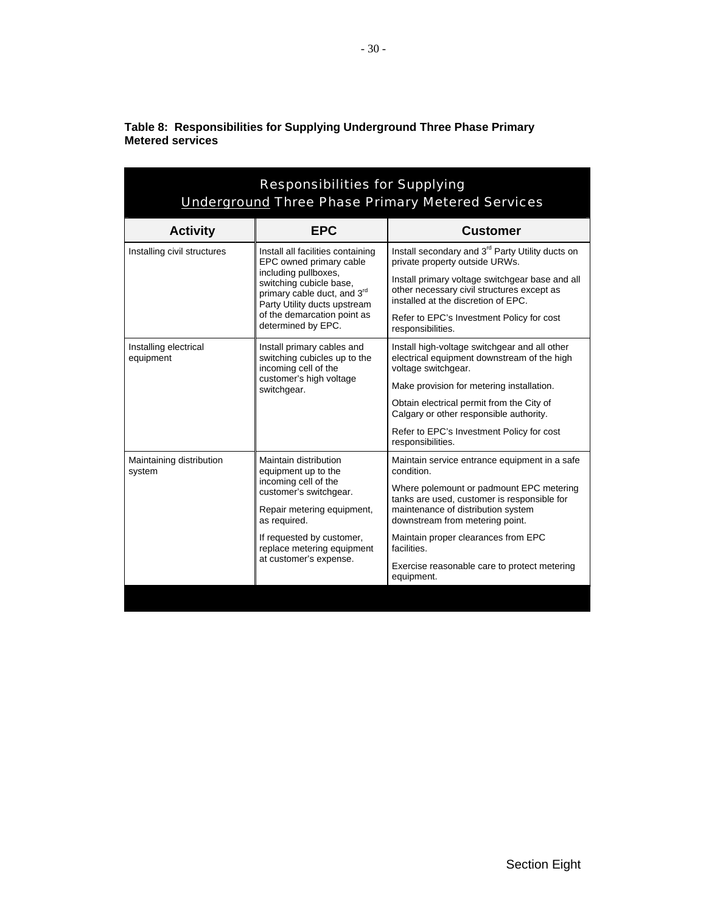| <b>Responsibilities for Supplying</b><br><b>Underground Three Phase Primary Metered Services</b> |                                                                                                                                                                                                                                     |                                                                                                                                                                  |  |
|--------------------------------------------------------------------------------------------------|-------------------------------------------------------------------------------------------------------------------------------------------------------------------------------------------------------------------------------------|------------------------------------------------------------------------------------------------------------------------------------------------------------------|--|
| <b>Activity</b>                                                                                  | <b>EPC</b>                                                                                                                                                                                                                          | <b>Customer</b>                                                                                                                                                  |  |
| Installing civil structures                                                                      | Install all facilities containing<br>EPC owned primary cable<br>including pullboxes,<br>switching cubicle base,<br>primary cable duct, and 3rd<br>Party Utility ducts upstream<br>of the demarcation point as<br>determined by EPC. | Install secondary and 3 <sup>rd</sup> Party Utility ducts on<br>private property outside URWs.                                                                   |  |
|                                                                                                  |                                                                                                                                                                                                                                     | Install primary voltage switchgear base and all<br>other necessary civil structures except as<br>installed at the discretion of EPC.                             |  |
|                                                                                                  |                                                                                                                                                                                                                                     | Refer to EPC's Investment Policy for cost<br>responsibilities.                                                                                                   |  |
| Installing electrical<br>equipment                                                               | Install primary cables and<br>switching cubicles up to the<br>incoming cell of the<br>customer's high voltage<br>switchgear.                                                                                                        | Install high-voltage switchgear and all other<br>electrical equipment downstream of the high<br>voltage switchgear.                                              |  |
|                                                                                                  |                                                                                                                                                                                                                                     | Make provision for metering installation.                                                                                                                        |  |
|                                                                                                  |                                                                                                                                                                                                                                     | Obtain electrical permit from the City of<br>Calgary or other responsible authority.                                                                             |  |
|                                                                                                  |                                                                                                                                                                                                                                     | Refer to EPC's Investment Policy for cost<br>responsibilities.                                                                                                   |  |
| Maintaining distribution<br>system                                                               | Maintain distribution<br>equipment up to the<br>incoming cell of the<br>customer's switchgear.                                                                                                                                      | Maintain service entrance equipment in a safe<br>condition.                                                                                                      |  |
|                                                                                                  |                                                                                                                                                                                                                                     | Where polemount or padmount EPC metering<br>tanks are used, customer is responsible for<br>maintenance of distribution system<br>downstream from metering point. |  |
|                                                                                                  | Repair metering equipment,<br>as required.                                                                                                                                                                                          |                                                                                                                                                                  |  |
|                                                                                                  | If requested by customer,<br>replace metering equipment<br>at customer's expense.                                                                                                                                                   | Maintain proper clearances from EPC<br>facilities.                                                                                                               |  |
|                                                                                                  |                                                                                                                                                                                                                                     | Exercise reasonable care to protect metering<br>equipment.                                                                                                       |  |
|                                                                                                  |                                                                                                                                                                                                                                     |                                                                                                                                                                  |  |

<span id="page-34-0"></span>**Table 8: Responsibilities for Supplying Underground Three Phase Primary Metered services**